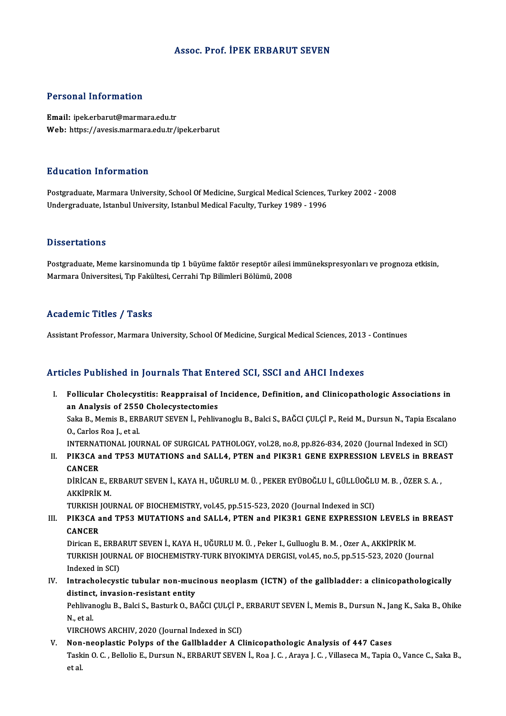#### Assoc. Prof. İPEK ERBARUT SEVEN

#### Personal Information

Email: ipek.erbarut@marmara.edu.tr Web: https://avesis.marmara.edu.tr/ipek.erbarut

#### Education Information

Postgraduate, Marmara University, School Of Medicine, Surgical Medical Sciences, Turkey 2002 - 2008 Undergraduate, Istanbul University, Istanbul Medical Faculty, Turkey 1989 - 1996

#### **Dissertations**

Dissertations<br>Postgraduate, Meme karsinomunda tip 1 büyüme faktör reseptör ailesi immünekspresyonları ve prognoza etkisin,<br>Marmara Üniversitesi "En Fekültesi, Carrabi "En Pilimleri Pölümü, 2009 D'isser tatrens<br>Postgraduate, Meme karsinomunda tip 1 büyüme faktör reseptör ailesi i<br>Marmara Üniversitesi, Tıp Fakültesi, Cerrahi Tıp Bilimleri Bölümü, 2008 Marmara Üniversitesi, Tıp Fakültesi, Cerrahi Tıp Bilimleri Bölümü, 2008<br>Academic Titles / Tasks

Assistant Professor, Marmara University, School Of Medicine, Surgical Medical Sciences, 2013 - Continues

#### Articles Published in Journals That Entered SCI, SSCI and AHCI Indexes

rticles Published in Journals That Entered SCI, SSCI and AHCI Indexes<br>I. Follicular Cholecystitis: Reappraisal of Incidence, Definition, and Clinicopathologic Associations in<br>20 Analysis of 2550 Cholecystate mise Follicular Cholecystitis: Reappraisal of<br>an Analysis of 2550 Cholecystectomies<br>Salm B. Mamis B. EDBADUT SEVEN L. Bobliv Follicular Cholecystitis: Reappraisal of Incidence, Definition, and Clinicopathologic Associations in<br>an Analysis of 2550 Cholecystectomies<br>Saka B., Memis B., ERBARUT SEVEN İ., Pehlivanoglu B., Balci S., BAĞCI ÇULÇİ P., Re

an Analysis of 2550 Cholecystectomies<br>Saka B., Memis B., ERBARUT SEVEN İ., Pehlivanoglu B., Balci S., BAĞCI ÇULÇİ P., Reid M., Dursun N., Tapia Escala<br>O., Carlos Roa J., et al.<br>INTERNATIONAL JOURNAL OF SURGICAL PATHOLOGY, Saka B., Memis B., ERBARUT SEVEN İ., Pehlivanoglu B., Balci S., BAĞCI ÇULÇİ P., Reid M., Dursun N., Tapia Escalano

O., Carlos Roa J., et al.<br>INTERNATIONAL JOURNAL OF SURGICAL PATHOLOGY, vol.28, no.8, pp.826-834, 2020 (Journal Indexed in SCI)<br>II. PIK3CA and TP53 MUTATIONS and SALL4, PTEN and PIK3R1 GENE EXPRESSION LEVELS in BREAST<br>CANGE INTERNAT<br>PIK3CA a<br>CANCER<br>DIPICAN I PIK3CA and TP53 MUTATIONS and SALL4, PTEN and PIK3R1 GENE EXPRESSION LEVELS in BREA<br>CANCER<br>DİRİCAN E., ERBARUT SEVEN İ., KAYA H., UĞURLU M. Ü. , PEKER EYÜBOĞLU İ., GÜLLÜOĞLU M. B. , ÖZER S. A. ,<br>AKKİPRİK M

CANCER<br>DİRİCAN E., ERBARUT SEVEN İ., KAYA H., UĞURLU M. Ü. , PEKER EYÜBOĞLU İ., GÜLLÜOĞLU M. B. , ÖZER S. A. ,<br>AKKİPRİK M. DİRİCAN E., ERBARUT SEVEN İ., KAYA H., UĞURLU M. Ü. , PEKER EYÜBOĞLU İ., GÜLLÜOĞLU<br>AKKİPRİK M.<br>TURKISH JOURNAL OF BIOCHEMISTRY, vol.45, pp.515-523, 2020 (Journal Indexed in SCI)<br>BIK2CA and TBE2 MUTATIONS and SALLA, PTEN an

# III. PIK3CA and TP53 MUTATIONS and SALL4, PTEN and PIK3R1 GENE EXPRESSION LEVELS in BREAST<br>CANCER TURKISH<br>PIK3CA a<br>CANCER<br>Dirican E PIK3CA and TP53 MUTATIONS and SALL4, PTEN and PIK3R1 GENE EXPRESSION LEVELS in<br>CANCER<br>Dirican E., ERBARUT SEVEN İ., KAYA H., UĞURLU M. Ü. , Peker I., Gulluoglu B. M. , Ozer A., AKKİPRİK M.<br>TURKISH JOURNAL OF RIOCHEMISTRY T

CANCER<br>Dirican E., ERBARUT SEVEN İ., KAYA H., UĞURLU M. Ü. , Peker I., Gulluoglu B. M. , Ozer A., AKKİPRİK M.<br>TURKISH JOURNAL OF BIOCHEMISTRY-TURK BIYOKIMYA DERGISI, vol.45, no.5, pp.515-523, 2020 (Journal<br>Indexed in SCD. Dirican E., ERBA<br>TURKISH JOURN<br>Indexed in SCI)<br>Intrachalogyst TURKISH JOURNAL OF BIOCHEMISTRY-TURK BIYOKIMYA DERGISI, vol.45, no.5, pp.515-523, 2020 (Journal<br>Indexed in SCI)<br>IV. Intrachological properties tubular non-mucinous neoplasm (ICTN) of the gallbladder: a clinicopathologicall

# Indexed in SCI)<br>Intracholecystic tubular non-muc<br>distinct, invasion-resistant entity<br>Pehlivanegh: P. Pelsi S. Pecturk O. P.( Intracholecystic tubular non-mucinous neoplasm (ICTN) of the gallbladder: a clinicopathologically<br>distinct, invasion-resistant entity<br>Pehlivanoglu B., Balci S., Basturk O., BAĞCI ÇULÇİ P., ERBARUT SEVEN İ., Memis B., Dursu

di<mark>stinct</mark><br>Pehlivar<br>N., et al.<br>VIPCHO Pehlivanoglu B., Balci S., Basturk O., BAĞCI ÇULÇİ P.,<br>N., et al.<br>VIRCHOWS ARCHIV, 2020 (Journal Indexed in SCI)<br>Nan naaplastis Boluns of the Callbladden A.Gl N., et al.<br>VIRCHOWS ARCHIV, 2020 (Journal Indexed in SCI)<br>V. Non-neoplastic Polyps of the Gallbladder A Clinicopathologic Analysis of 447 Cases

VIRCHOWS ARCHIV, 2020 (Journal Indexed in SCI)<br><mark>Non-neoplastic Polyps of the Gallbladder A Clinicopathologic Analysis of 447 Cases</mark><br>Taskin O. C. , Bellolio E., Dursun N., ERBARUT SEVEN İ., Roa J. C. , Araya J. C. , Villase Non<br>Task<br>et al.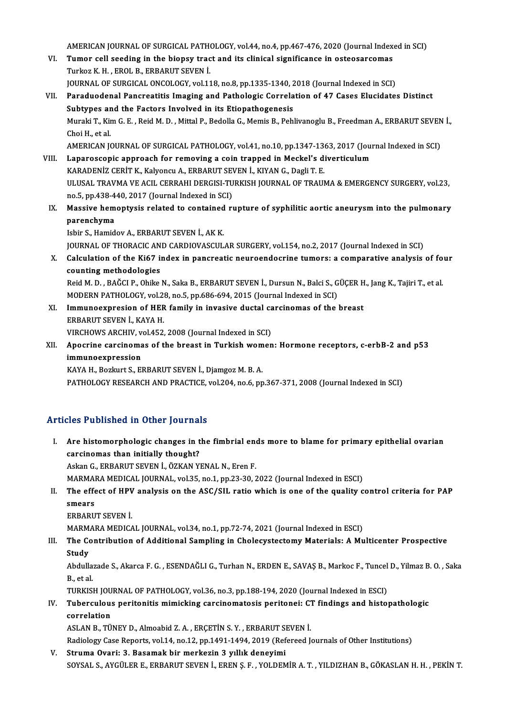AMERICAN JOURNAL OF SURGICAL PATHOLOGY, vol.44, no.4, pp.467-476, 2020 (Journal Indexed in SCI)<br>Tumer sell seeding in the bioney trest and its elinicel significance in esteccersemes

- AMERICAN JOURNAL OF SURGICAL PATHOLOGY, vol.44, no.4, pp.467-476, 2020 (Journal Indext)<br>VI. Tumor cell seeding in the biopsy tract and its clinical significance in osteosarcomas AMERICAN JOURNAL OF SURGICAL PATH<br>**Tumor cell seeding in the biopsy trac**<br>Turkoz K. H. , EROL B., ERBARUT SEVEN İ.<br>JOUPNAL OF SURCICAL ONÇOLOCY vel 11 Tumor cell seeding in the biopsy tract and its clinical significance in osteosarcomas<br>Turkoz K. H. , EROL B., ERBARUT SEVEN I.<br>JOURNAL OF SURGICAL ONCOLOGY, vol.118, no.8, pp.1335-1340, 2018 (Journal Indexed in SCI)<br>Paradu
- Turkoz K. H., EROL B., ERBARUT SEVEN İ.<br>JOURNAL OF SURGICAL ONCOLOGY, vol.118, no.8, pp.1335-1340, 2018 (Journal Indexed in SCI)<br>VII. Paraduodenal Pancreatitis Imaging and Pathologic Correlation of 47 Cases Elucidates Dist JOURNAL OF SURGICAL ONCOLOGY, vol.118, no.8, pp.1335-1340, 2<br>Paraduodenal Pancreatitis Imaging and Pathologic Correla<br>Subtypes and the Factors Involved in its Etiopathogenesis<br>Muraki T. Kim G. E., Reid M. D., Mittal B. Bed Paraduodenal Pancreatitis Imaging and Pathologic Correlation of 47 Cases Elucidates Distinct<br>Subtypes and the Factors Involved in its Etiopathogenesis<br>Muraki T., Kim G. E. , Reid M. D. , Mittal P., Bedolla G., Memis B., Pe Subtypes ar<br>Muraki T., Kir<br>Choi H., et al.<br>AMERICAN IG Muraki T., Kim G. E. , Reid M. D. , Mittal P., Bedolla G., Memis B., Pehlivanoglu B., Freedman A., ERBARUT SEVEN<br>Choi H., et al.<br>AMERICAN JOURNAL OF SURGICAL PATHOLOGY, vol.41, no.10, pp.1347-1363, 2017 (Journal Indexed in Choi H., et al.<br>AMERICAN JOURNAL OF SURGICAL PATHOLOGY, vol.41, no.10, pp.1347-1363, 2017 (Jou<br>VIII. Laparoscopic approach for removing a coin trapped in Meckel's diverticulum
- AMERICAN JOURNAL OF SURGICAL PATHOLOGY, vol41, no.10, pp.1347-13<br>Laparoscopic approach for removing a coin trapped in Meckel's d:<br>KARADENİZ CERİT K., Kalyoncu A., ERBARUT SEVEN İ., KIYAN G., Dagli T. E.<br>ULUSAL TRAVMA VE AC ULUSAL TRAVMA VE ACIL CERRAHI DERGISI-TURKISH JOURNAL OF TRAUMA & EMERGENCY SURGERY, vol.23,<br>no.5, pp.438-440, 2017 (Journal Indexed in SCI) KARADENİZ CERİT K., Kalyoncu A., ERBARUT SEVEN İ., KIYAN G., Dagli T. E. ULUSAL TRAVMA VE ACIL CERRAHI DERGISI-TURKISH JOURNAL OF TRAUMA & EMERGENCY SURGERY, vol.23,<br>no.5, pp.438-440, 2017 (Journal Indexed in SCI)<br>IX. Massive hemoptysis related to contained rupture of syphilitic aortic aneurysm
- no.5, pp.438-4<br>Massive hem<br>parenchyma<br>Jehin S. Hamid Massive hemoptysis related to contained<br>parenchyma<br>Isbir S., Hamidov A., ERBARUT SEVEN İ., AK K.<br>JOUPMAL OF THOPACIC AND CAPDIOVASCUL

parenchyma<br>Isbir S., Hamidov A., ERBARUT SEVEN İ., AK K.<br>JOURNAL OF THORACIC AND CARDIOVASCULAR SURGERY, vol.154, no.2, 2017 (Journal Indexed in SCI)

X. Calculation of the Ki67 index in pancreatic neuroendocrine tumors: a comparative analysis of four counting methodologies Calculation of the Ki67 index in pancreatic neuroendocrine tumors: a comparative analysis of fo<br>counting methodologies<br>Reid M. D. , BAĞCI P., Ohike N., Saka B., ERBARUT SEVEN İ., Dursun N., Balci S., GÜÇER H., Jang K., Taj

counting methodologies<br>Reid M. D. , BAĞCI P., Ohike N., Saka B., ERBARUT SEVEN İ., Dursun N., Balci S., G<br>MODERN PATHOLOGY, vol.28, no.5, pp.686-694, 2015 (Journal Indexed in SCI)<br>Immuneaxpression of HEP family in invesive Reid M. D. , BAĞCI P., Ohike N., Saka B., ERBARUT SEVEN İ., Dursun N., Balci S., GÜÇER H<br>MODERN PATHOLOGY, vol.28, no.5, pp.686-694, 2015 (Journal Indexed in SCI)<br>XI. Immunoexpresion of HER family in invasive ductal carcin

- MODERN PATHOLOGY, vol.28, no.5, pp.686-694, 2015 (Journal Indexed in SCI)<br>XI. Immuno expresion of HER family in invasive ductal carcinomas of the breast<br>ERBARUT SEVEN I., KAYA H. Immunoexpresion of HER family in invasive ductal can<br>ERBARUT SEVEN İ., KAYA H.<br>VIRCHOWS ARCHIV, vol.452, 2008 (Journal Indexed in SCI)<br>Anegrine sarsinemas of the breast in Turkish wemen ERBARUT SEVEN İ., KAYA H.<br>VIRCHOWS ARCHIV, vol.452, 2008 (Journal Indexed in SCI)<br>XII. Apocrine carcinomas of the breast in Turkish women: Hormone receptors, c-erbB-2 and p53<br>immunoeynression
- VIRCHOWS ARCHIV, v<br>Apocrine carcinoma<br>immunoexpression<br>KAVA H. Borluut S. El Apocrine carcinomas of the breast in Turkish wom<br>immunoexpression<br>KAYA H., Bozkurt S., ERBARUT SEVEN İ., Djamgoz M. B. A.<br>BATHOLOCY PESEARCH AND PRACTICE vol 204 no 6 nm immunoexpression<br>KAYA H., Bozkurt S., ERBARUT SEVEN İ., Djamgoz M. B. A.<br>PATHOLOGY RESEARCH AND PRACTICE, vol.204, no.6, pp.367-371, 2008 (Journal Indexed in SCI)

## Articles Published in Other Journals

rticles Published in Other Journals<br>I. Are histomorphologic changes in the fimbrial ends more to blame for primary epithelial ovarian<br>consinemes than initially thought? Are histomorphologic changes in t<br>carcinomas than initially thought?<br>Askan G. ERRABUT SEVEN L. ÖZKAN VI Are histomorphologic changes in the fimbrial encorrent<br>carcinomas than initially thought?<br>Askan G., ERBARUT SEVEN İ., ÖZKAN YENAL N., Eren F.<br>MARMARA MEDICAL JOURNAL vol 25. po 1. pp.22.20.2 carcinomas than initially thought?<br>Askan G., ERBARUT SEVEN İ., ÖZKAN YENAL N., Eren F.<br>MARMARA MEDICAL JOURNAL, vol.35, no.1, pp.23-30, 2022 (Journal Indexed in ESCI)<br>The effect of HBV analysis on the ASC (SIL ratio which

- Askan G., ERBARUT SEVEN İ., ÖZKAN YENAL N., Eren F.<br>MARMARA MEDICAL JOURNAL, vol.35, no.1, pp.23-30, 2022 (Journal Indexed in ESCI)<br>II. The effect of HPV analysis on the ASC/SIL ratio which is one of the quality contro MARMA<br>The effe<br>smears<br>EPPAPU The effect of HPV<br>smears<br>ERBARUT SEVEN İ.<br>MARMARA MEDICA smears<br>ERBARUT SEVEN İ.<br>MARMARA MEDICAL JOURNAL, vol.34, no.1, pp.72-74, 2021 (Journal Indexed in ESCI)
	-

ERBARUT SEVEN İ.<br>MARMARA MEDICAL JOURNAL, vol.34, no.1, pp.72-74, 2021 (Journal Indexed in ESCI)<br>III. The Contribution of Additional Sampling in Cholecystectomy Materials: A Multicenter Prospective<br>Study MARM<br>The Co<br>Study<br>Abdulle The Contribution of Additional Sampling in Cholecystectomy Materials: A Multicenter Prospective<br>Study<br>Abdullazade S., Akarca F. G. , ESENDAĞLI G., Turhan N., ERDEN E., SAVAŞ B., Markoc F., Tuncel D., Yilmaz B. O. , Saka<br>B.

**Study<br>Abdulla:<br>B., et al.<br>TUPKISI** Abdullazade S., Akarca F. G. , ESENDAĞLI G., Turhan N., ERDEN E., SAVAŞ B., Markoc F., Tuncel<br>B., et al.<br>TURKISH JOURNAL OF PATHOLOGY, vol.36, no.3, pp.188-194, 2020 (Journal Indexed in ESCI)<br>Tuberauleus peritenitis mimisk

## B., et al.<br>TURKISH JOURNAL OF PATHOLOGY, vol.36, no.3, pp.188-194, 2020 (Journal Indexed in ESCI)<br>IV. Tuberculous peritonitis mimicking carcinomatosis peritonei: CT findings and histopathologic<br>correlation TURKISH JOU<br>Tuberculou:<br>correlation<br>ASLAN P. TÜ Tuberculous peritonitis mimicking carcinomatosis peritonei: C.<br>correlation<br>ASLAN B., TÜNEY D., Almoabid Z. A. , ERÇETİN S. Y. , ERBARUT SEVEN İ.<br>Pedialagy Case Penenta val 14 no 12 nn 1491 1494 2919 (Pefened L correlation<br>ASLAN B., TÜNEY D., Almoabid Z. A. , ERÇETİN S. Y. , ERBARUT SEVEN İ.<br>Radiology Case Reports, vol.14, no.12, pp.1491-1494, 2019 (Refereed Journals of Other Institutions)

V. Struma Ovari: 3. Basamak bir merkezin 3 yıllık deneyimi SOYSAL S.,AYGÜLERE.,ERBARUTSEVENİ.,ERENŞ.F. ,YOLDEMİRA.T. ,YILDIZHANB.,GÖKASLANH.H. ,PEKİNT.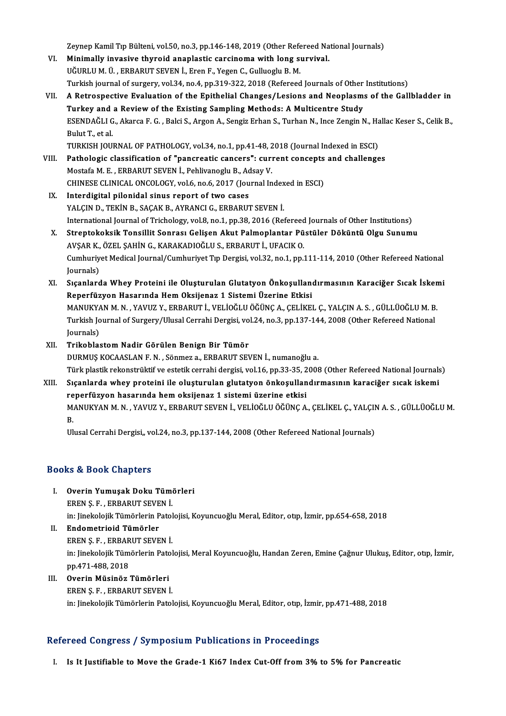Zeynep Kamil Tıp Bülteni, vol.50, no.3, pp.146-148, 2019 (Other Refereed National Journals)<br>Minimally invasive thuneid anaplastis sensineme with leng sunuival

- Zeynep Kamil Tıp Bülteni, vol.50, no.3, pp.146-148, 2019 (Other Refereed Na<br>VI. Minimally invasive thyroid anaplastic carcinoma with long survival. Zeynep Kamil Tıp Bülteni, vol.50, no.3, pp.146-148, 2019 (Other Refe<br>Minimally invasive thyroid anaplastic carcinoma with long su<br>UĞURLU M. Ü. , ERBARUT SEVEN İ., Eren F., Yegen C., Gulluoglu B. M.<br>Turkish iournal of surso Minimally invasive thyroid anaplastic carcinoma with long survival.<br>UĞURLU M. Ü. , ERBARUT SEVEN İ., Eren F., Yegen C., Gulluoglu B. M.<br>Turkish journal of surgery, vol.34, no.4, pp.319-322, 2018 (Refereed Journals of Other
- UĞURLU M. Ü. , ERBARUT SEVEN İ., Eren F., Yegen C., Gulluoglu B. M.<br>Turkish journal of surgery, vol.34, no.4, pp.319-322, 2018 (Refereed Journals of Other Institutions)<br>VII. A Retrospective Evaluation of the Epithelial Cha Turkish journal of surgery, vol.34, no.4, pp.319-322, 2018 (Refereed Journals of Other<br>A Retrospective Evaluation of the Epithelial Changes/Lesions and Neoplasm:<br>Turkey and a Review of the Existing Sampling Methods: A Mult A Retrospective Evaluation of the Epithelial Changes/Lesions and Neoplasms of the Gallbladder in<br>Turkey and a Review of the Existing Sampling Methods: A Multicentre Study<br>ESENDAĞLI G., Akarca F. G. , Balci S., Argon A., Se Tur<mark>key and</mark><br>ESENDAĞLI G<br>Bulut T., et al.<br>TURKEH IOU ESENDAĞLI G., Akarca F. G. , Balci S., Argon A., Sengiz Erhan S., Turhan N., Ince Zengin N., Ha<br>Bulut T., et al.<br>TURKISH JOURNAL OF PATHOLOGY, vol.34, no.1, pp.41-48, 2018 (Journal Indexed in ESCI)<br>Pathologis classificatio
- Bulut T., et al.<br>TURKISH JOURNAL OF PATHOLOGY, vol.34, no.1, pp.41-48, 2018 (Journal Indexed in ESCI)<br>VIII. Pathologic classification of "pancreatic cancers": current concepts and challenges<br>Mestafo M. E. ERRAPUT SEVEN I. TURKISH JOURNAL OF PATHOLOGY, vol.34, no.1, pp.41-48, 2<br>Pathologic classification of "pancreatic cancers": curi<br>Mostafa M. E. , ERBARUT SEVEN İ., Pehlivanoglu B., Adsay V.<br>CHINESE CLINICAL ONCOLOCY, vol.6, no.6, 2017 (Jour Pathologic classification of "pancreatic cancers": current concepts<br>Mostafa M. E. , ERBARUT SEVEN İ., Pehlivanoglu B., Adsay V.<br>CHINESE CLINICAL ONCOLOGY, vol.6, no.6, 2017 (Journal Indexed in ESCI)<br>Interdigital pilopidal Mostafa M. E. , ERBARUT SEVEN İ., Pehlivanoglu B., Adsay V.<br>CHINESE CLINICAL ONCOLOGY, vol.6, no.6, 2017 (Journal Indexed in ESCI)<br>IX. Interdigital pilonidal sinus report of two cases
- YALÇIN D., TEKİN B., SAÇAK B., AYRANCI G., ERBARUT SEVEN İ. I<mark>nterdigital pilonidal sinus report of two cases</mark><br>YALÇIN D., TEKİN B., SAÇAK B., AYRANCI G., ERBARUT SEVEN İ.<br>International Journal of Trichology, vol.8, no.1, pp.38, 2016 (Refereed Journals of Other Institutions)<br>Strepte
- X. Streptokoksik Tonsillit Sonrası Gelişen Akut Palmoplantar Püstüler Döküntü Olgu Sunumu<br>AVŞAR K., ÖZEL ŞAHİN G., KARAKADIOĞLU S., ERBARUT İ., UFACIK O. International Journal of Trichology, vol.8, no.1, pp.38, 2016 (Refereed<br>Streptokoksik Tonsillit Sonrası Gelişen Akut Palmoplantar Pü<br>AVŞAR K., ÖZEL ŞAHİN G., KARAKADIOĞLU S., ERBARUT İ., UFACIK O.<br>Cumburiyat Medicel Journa Streptokoksik Tonsillit Sonrası Gelişen Akut Palmoplantar Püstüler Döküntü Olgu Sunumu<br>AVŞAR K., ÖZEL ŞAHİN G., KARAKADIOĞLU S., ERBARUT İ., UFACIK O.<br>Cumhuriyet Medical Journal/Cumhuriyet Tıp Dergisi, vol.32, no.1, pp.111 AVŞAR K.,<br>Cumhuriy<br>Journals)<br>Sıcanlard Cumhuriyet Medical Journal/Cumhuriyet Tıp Dergisi, vol.32, no.1, pp.111-114, 2010 (Other Refereed National<br>Journals)<br>XI. Sıçanlarda Whey Proteini ile Oluşturulan Glutatyon Önkoşullandırmasının Karaciğer Sıcak İskemi<br>Raparf
- Journals)<br>Sıçanlarda Whey Proteini ile Oluşturulan Glutatyon Önkoşullanı<br>Reperfüzyon Hasarında Hem Oksijenaz 1 Sistemi Üzerine Etkisi<br>MANUKYAN M.N. XAVUZ V. ERRARUTİ, VELİQĞLU ÖĞÜNC A. GELİKE Sıçanlarda Whey Proteini ile Oluşturulan Glutatyon Önkoşullandırmasının Karaciğer Sıcak İsken<br>Reperfüzyon Hasarında Hem Oksijenaz 1 Sistemi Üzerine Etkisi<br>MANUKYAN M. N. , YAVUZ Y., ERBARUT İ., VELİOĞLU ÖĞÜNÇ A., ÇELİKEL Ç Reperfüzyon Hasarında Hem Oksijenaz 1 Sistemi Üzerine Etkisi<br>MANUKYAN M. N. , YAVUZ Y., ERBARUT İ., VELİOĞLU ÖĞÜNÇ A., ÇELİKEL Ç., YALÇIN A. S. , GÜLLÜOĞLU M. B<br>Turkish Journal of Surgery/Ulusal Cerrahi Dergisi, vol.24, no MANUKY/<br>Turkish Jo<br>Journals)<br>Trikoblas Turkish Journal of Surgery/Ulusal Cerrahi Dergisi, vo<br>Journals)<br>XII. Trikoblastom Nadir Görülen Benign Bir Tümör<br>DUPMUS KOCAASLAN E.N. Sönmog a. EPPAPUT SEN
- Journals)<br>20 NII. Trikoblastom Nadir Görülen Benign Bir Tümör<br>21 DURMUŞ KOCAASLAN F. N. , Sönmez a., ERBARUT SEVEN İ., numanoğlu a. Türk plastik rekonstrüktif ve estetik cerrahi dergisi, vol.16, pp.33-35, 2008 (Other Refereed National Journals)
- XIII. Sıçanlarda whey proteini ile oluşturulan glutatyon önkoşullandırmasının karaciğer sıcak iskemi reperfüzyon hasarında hemoksijenaz 1 sistemi üzerine etkisi Sıçanlarda whey proteini ile oluşturulan glutatyon önkoşullandırmasının karaciğer sıcak iskemi<br>reperfüzyon hasarında hem oksijenaz 1 sistemi üzerine etkisi<br>MANUKYAN M. N. , YAVUZ Y., ERBARUT SEVEN İ., VELİOĞLU ÖĞÜNÇ A., ÇE re<br>M.<br>II. MANUKYAN M. N. , YAVUZ Y., ERBARUT SEVEN İ., VELİOĞLU ÖĞÜNÇ A., ÇELİKEL Ç., YALÇII<br>B.<br>Ulusal Cerrahi Dergisi,, vol.24, no.3, pp.137-144, 2008 (Other Refereed National Journals)

Ulusal Cerrahi Dergisi,, vol.24, no.3, pp.137-144, 2008 (Other Refereed National Journals)<br>Books & Book Chapters

- ooks & Book Chapters<br>I. Overin Yumuşak Doku Tümörleri<br>EREN S.E. ERRARUT SEVEN İ EREN Ş. F. , ERBARUT SEVEN<br>EREN Ş. F. , ERBARUT SEVEN İ.<br>İn Lingkalailk Tümörlerin Batel Overin Yumuşak Doku Tümörleri<br>EREN Ş. F. , ERBARUT SEVEN İ.<br>in: Jinekolojik Tümörlerin Patolojisi, Koyuncuoğlu Meral, Editor, otıp, İzmir, pp.654-658, 2018<br>Endometriejd Tümörler EREN Ş. F. , ERBARUT SEVE<br>in: Jinekolojik Tümörlerin P<br>II. Endometrioid Tümörler<br>EREN S. E. ERRABUT SEVE
- in: Jinekolojik Tümörlerin Patol<br><mark>Endometrioid Tümörler</mark><br>EREN Ş. F. , ERBARUT SEVEN İ.<br>in: Jinekolojik Tümörlerin Patel Endometrioid Tümörler<br>EREN Ş. F. , ERBARUT SEVEN İ.<br>in: Jinekolojik Tümörlerin Patolojisi, Meral Koyuncuoğlu, Handan Zeren, Emine Çağnur Ulukuş, Editor, otıp, İzmir,<br>nn 471-488-2018 EREN Ş. F. , ERBAR<br>in: Jinekolojik Tüm<br>pp.471-488, 2018<br>Querin Müsinöz
- pp.471-488, 2018<br>III. Overin Müsinöz Tümörleri ERENŞ.F., ERBARUT SEVENİ. in: Jinekolojik Tümörlerin Patolojisi, Koyuncuoğlu Meral, Editor, otıp, İzmir, pp.471-488, 2018

### Refereed Congress / Symposium Publications in Proceedings

I. Is It Justifiable to Move the Grade-1 Ki67 Index Cut-Off from 3% to 5% for Pancreatic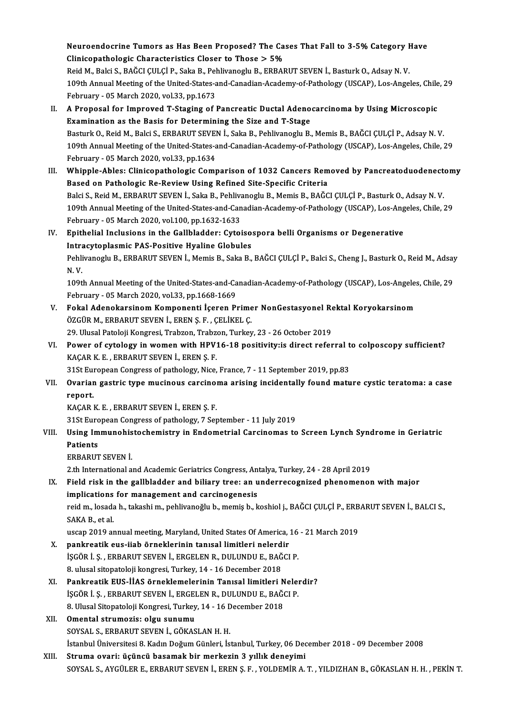Neuroendocrine Tumors as Has Been Proposed? The Cases That Fall to 3-5% Category Have<br>Clinisensthelegis Charasteristics Cleaer to These > 5% Neuroendocrine Tumors as Has Been Proposed? The Ca:<br>Clinicopathologic Characteristics Closer to Those > 5%<br>Reid M. Polsi S. PAČCLCII CLP, Saka B. Poblivanegly P. EPPAR Neuroendocrine Tumors as Has Been Proposed? The Cases That Fall to 3-5% Category <del>I</del><br>Clinicopathologic Characteristics Closer to Those > 5%<br>Reid M., Balci S., BAĞCI ÇULÇİ P., Saka B., Pehlivanoglu B., ERBARUT SEVEN İ., Bas

Clinicopathologic Characteristics Closer to Those > 5%<br>Reid M., Balci S., BAĞCI ÇULÇİ P., Saka B., Pehlivanoglu B., ERBARUT SEVEN İ., Basturk O., Adsay N. V.<br>109th Annual Meeting of the United-States-and-Canadian-Academy-o Reid M., Balci S., BAĞCI CULCİ P., Saka B., Pehlivanoglu B., ERBARUT SEVEN İ., Basturk O., Adsay N. V. 109th Annual Meeting of the United-States-and-Canadian-Academy-of-Pathology (USCAP), Los-Angeles, Chile<br>February - 05 March 2020, vol.33, pp.1673<br>II. A Proposal for Improved T-Staging of Pancreatic Ductal Adenocarcinoma by

- February 05 March 2020, vol.33, pp.1673<br>A Proposal for Improved T-Staging of Pancreatic Ductal Adeno<br>Examination as the Basis for Determining the Size and T-Stage<br>Besturk O. Boid M. Baki S. ERRABUT SEVEN L Saka B. Bobliv A Proposal for Improved T-Staging of Pancreatic Ductal Adenocarcinoma by Using Microscopic<br>Examination as the Basis for Determining the Size and T-Stage<br>Basturk O., Reid M., Balci S., ERBARUT SEVEN İ., Saka B., Pehlivanogl Examination as the Basis for Determining the Size and T-Stage<br>Basturk O., Reid M., Balci S., ERBARUT SEVEN İ., Saka B., Pehlivanoglu B., Memis B., BAĞCI ÇULÇİ P., Adsay N. V<br>109th Annual Meeting of the United-States-and-Ca Basturk O., Reid M., Balci S., ERBARUT SEVEL<br>109th Annual Meeting of the United-States-a<br>February - 05 March 2020, vol.33, pp.1634<br>Whinple Ables: Clinisensthelegis Cemr 109th Annual Meeting of the United-States-and-Canadian-Academy-of-Pathology (USCAP), Los-Angeles, Chile, 29<br>February - 05 March 2020, vol.33, pp.1634<br>III. Whipple-Ables: Clinicopathologic Comparison of 1032 Cancers Removed
- February 05 March 2020, vol.33, pp.1634<br>Whipple-Ables: Clinicopathologic Comparison of 1032 Cancers Rem<br>Based on Pathologic Re-Review Using Refined Site-Specific Criteria<br>Paki S. Reid M. ERRAPUT SEVEN L. Seke B. Pehlivan Whipple-Ables: Clinicopathologic Comparison of 1032 Cancers Removed by Pancreatoduodenect<br>Based on Pathologic Re-Review Using Refined Site-Specific Criteria<br>Balci S., Reid M., ERBARUT SEVEN İ., Saka B., Pehlivanoglu B., Me Based on Pathologic Re-Review Using Refined Site-Specific Criteria<br>Balci S., Reid M., ERBARUT SEVEN İ., Saka B., Pehlivanoglu B., Memis B., BAĞCI ÇULÇİ P., Basturk O., Adsay N. V<br>109th Annual Meeting of the United-States-a Balci S., Reid M., ERBARUT SEVEN İ., Saka B., Pehliva<br>109th Annual Meeting of the United-States-and-Can<br>February - 05 March 2020, vol.100, pp.1632-1633<br>Enithelial Inglusions in the Collhladder: Cytoi 109th Annual Meeting of the United-States-and-Canadian-Academy-of-Pathology (USCAP), Los-Ang<br>February - 05 March 2020, vol.100, pp.1632-1633<br>IV. Epithelial Inclusions in the Gallbladder: Cytoisospora belli Organisms or Deg February - 05 March 2020, vol.100, pp.1632-1633<br>IV. Epithelial Inclusions in the Gallbladder: Cytoisospora belli Organisms or Degenerative
- Pehlivanoglu B., ERBARUT SEVEN İ., Memis B., Saka B., BAĞCI ÇULÇİ P., Balci S., Cheng J., Basturk O., Reid M., Adsay<br>N. V. Intracytoplasmic PAS-Positive Hyaline Globules

Pehlivanoglu B., ERBARUT SEVEN İ., Memis B., Saka B., BAĞCI ÇULÇİ P., Balci S., Cheng J., Basturk O., Reid M., Adsay<br>N. V.<br>109th Annual Meeting of the United-States-and-Canadian-Academy-of-Pathology (USCAP), Los-Angeles, C N. V.<br>109th Annual Meeting of the United-States-and-Ca<br>February - 05 March 2020, vol.33, pp.1668-1669<br>Fekal Adenskarsinem Komponenti Iseren Bu 109th Annual Meeting of the United-States-and-Canadian-Academy-of-Pathology (USCAP), Los-Angeles<br>February - 05 March 2020, vol.33, pp.1668-1669<br>V. Fokal Adenokarsinom Komponenti İçeren Primer NonGestasyonel Rektal Koryokar

February - 05 March 2020, vol.33, pp.1668-1669<br>V. Fokal Adenokarsinom Komponenti İçeren Primer NonGestasyonel Rektal Koryokarsinom<br>ÖZGÜR M., ERBARUT SEVEN İ., EREN Ş. F. , ÇELİKEL Ç. Fokal Adenokarsinom Komponenti İçeren Primer NonGestasyonel Re<br>ÖZGÜR M., ERBARUT SEVEN İ., EREN Ş. F. , ÇELİKEL Ç.<br>29. Ulusal Patoloji Kongresi, Trabzon, Trabzon, Turkey, 23 - 26 October 2019<br>Bower of sytology in women wit

ÖZGÜR M., ERBARUT SEVEN İ., EREN Ş. F. , ÇELİKEL Ç.<br>29. Ulusal Patoloji Kongresi, Trabzon, Trabzon, Turkey, 23 - 26 October 2019<br>VI. Power of cytology in women with HPV16-18 positivity:is direct referral to colposcopy 29. Ulusal Patoloji Kongresi, Trabzon, Trabzon<br>Power of cytology in women with HPV<br>KAÇAR K.E., ERBARUT SEVEN İ., EREN Ş.F.<br>21St European Congress of pathology, Nice Power of cytology in women with HPV16-18 positivity:is direct referral t<br>KAÇAR K. E. , ERBARUT SEVEN İ., EREN Ş. F.<br>31St European Congress of pathology, Nice, France, 7 - 11 September 2019, pp.83<br>Quarian gostris tune musin

KAÇAR K. E. , ERBARUT SEVEN İ., EREN Ş. F.<br>31St European Congress of pathology, Nice, France, 7 - 11 September 2019, pp.83<br>VII. Ovarian gastric type mucinous carcinoma arising incidentally found mature cystic teratoma: 31St European Congress of pathology, Nice, France, 7 - 11 September 2019, pp.83<br>Ovarian gastric type mucinous carcinoma arising incidentally found matu<br>report.<br>KAÇAR K. E., ERBARUT SEVEN İ., EREN Ş. F. Ovarian gastric type mucinous carcinol<br>report.<br>KAÇAR K.E., ERBARUT SEVEN İ., EREN Ş.F.<br>21St European Congress of pathologu 7 Ser

31St European Congress of pathology, 7 September - 11 July 2019

KAÇAR K. E. , ERBARUT SEVEN İ., EREN Ş. F.<br>31St European Congress of pathology, 7 September - 11 July 2019<br>VIII. Using Immunohistochemistry in Endometrial Carcinomas to Screen Lynch Syndrome in Geriatric<br>Patients **31St Euro<br>Using Im<br>Patients<br>EPRAPIT** Using Immunohis<br>Patients<br>ERBARUT SEVEN İ. 2.th International<br>2.th International and Academic Geriatrics Congress, Antalya, Turkey, 24 - 28 April 2019<br>2.th International and Academic Geriatrics Congress, Antalya, Turkey, 24 - 28 April 2019

IX. Field risk in the gallbladder and biliary tree: an underrecognized phenomenon with major 2.th International and Academic Geriatrics Congress, An<br>Field risk in the gallbladder and biliary tree: an u<br>implications for management and carcinogenesis<br>reid malesseds hatelsebim poblivaneğlu hamemis hal Field risk in the gallbladder and biliary tree: an underrecognized phenomenon with major<br>implications for management and carcinogenesis<br>reid m., losada h., takashi m., pehlivanoğlu b., memiş b., koshiol j., BAĞCI ÇULÇİ P.,

i<mark>mplications</mark><br>reid m., losada<br>SAKA B., et al.<br>ussan 2019 ar reid m., losada h., takashi m., pehlivanoğlu b., memiş b., koshiol j., BAĞCI ÇULÇİ P., ERB<br>SAKA B., et al.<br>uscap 2019 annual meeting, Maryland, United States Of America, 16 - 21 March 2019<br>pankroatik eus. jieb örneklerinin

- SAKA B., et al.<br>uscap 2019 annual meeting, Maryland, United States Of America, i<br>X. pankreatik eus-iiab örneklerinin tanısal limitleri nelerdir<br>iscõp i s. EPPAPUT SEVEN İ. EPCELEN P. DULUNDU E. PAČCI uscap 2019 annual meeting, Maryland, United States Of America, 16 - 21 March 2019<br>**pankreatik eus-iiab örneklerinin tanısal limitleri nelerdir**<br>İŞGÖR İ. Ş. , ERBARUT SEVEN İ., ERGELEN R., DULUNDU E., BAĞCI P.<br>8. ulusal sit pankreatik eus-iiab örneklerinin tanısal limitleri nelerd<br>İŞGÖR İ. Ş. , ERBARUT SEVEN İ., ERGELEN R., DULUNDU E., BAĞ<br>8. ulusal sitopatoloji kongresi, Turkey, 14 - 16 December 2018<br>Pankreatik EUS İİAS örneklemelerinin Tanı İŞGÖR İ. Ş. , ERBARUT SEVEN İ., ERGELEN R., DULUNDU E., BAĞCI P.<br>8. ulusal sitopatoloji kongresi, Turkey, 14 - 16 December 2018<br>XI. – Pankreatik EUS-İİAS örneklemelerinin Tanısal limitleri Nelerdir?<br>İSCÖR İ. S. ERRABUT SEV
- 8. ulusal sitopatoloji kongresi, Turkey, 14 16 December 2018<br>Pankreatik EUS-İİAS örneklemelerinin Tanısal limitleri Nelen<br>İŞGÖR İ. Ş. , ERBARUT SEVEN İ., ERGELEN R., DULUNDU E., BAĞCI P.<br>8. Ulusal Sitopateleji Kongresi, Pankreatik EUS-İİAS örneklemelerinin Tanısal limitleri N<br>İŞGÖR İ. Ş. , ERBARUT SEVEN İ., ERGELEN R., DULUNDU E., BAĞO<br>8. Ulusal Sitopatoloji Kongresi, Turkey, 14 - 16 December 2018<br>Omantal atrumazisı olan sunumu İŞGÖR İ. Ş. , ERBARUT SEVEN İ., ERGELEN R., DULUNDU E., BAĞCI P.<br>8. Ulusal Sitopatoloji Kongresi, Turkey, 14 - 16 December 2018<br>XII. **Omental strumozis: olgu sunumu**<br>SOYSAL S., ERBARUT SEVEN İ., GÖKASLAN H. H. 8. Ulusal Sitopatoloji Kongresi, Turkey, 14 - 16 December 2018

# İstanbulÜniversitesi8.KadınDoğumGünleri, İstanbul,Turkey,06December 2018 -09December 2008

XIII. Struma ovari: üçüncü basamak bir merkezin 3 yıllık deneyimi SOYSAL S.,AYGÜLERE.,ERBARUTSEVENİ.,ERENŞ.F. ,YOLDEMİRA.T. ,YILDIZHANB.,GÖKASLANH.H. ,PEKİNT.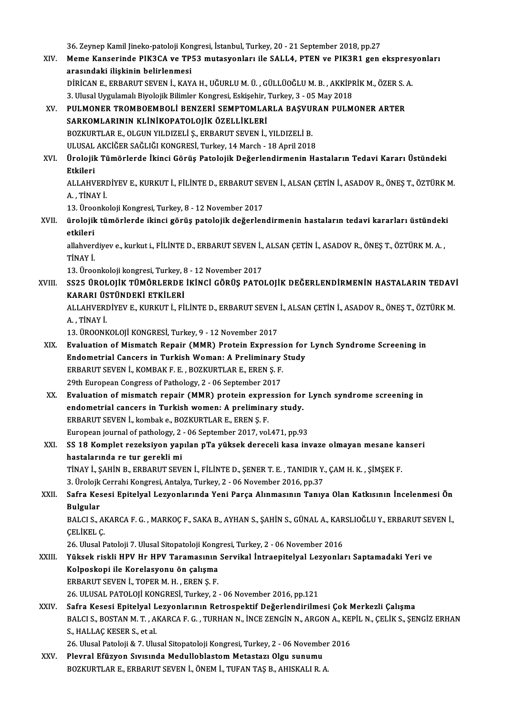36. Zeynep Kamil Jineko-patoloji Kongresi, İstanbul, Turkey, 20 - 21 September 2018, pp.27<br>Mama Kansaninda PIK3CA ve TPE3 mutasyonları ile SALLA, PTEN ve PIK3P1 sen

36. Zeynep Kamil Jineko-patoloji Kongresi, İstanbul, Turkey, 20 - 21 September 2018, pp.27<br>XIV. Meme Kanserinde PIK3CA ve TP53 mutasyonları ile SALL4, PTEN ve PIK3R1 gen ekspresyonları<br>Angandeki ilişkinin belirlenmesi 36. Zeynep Kamil Jineko-patoloji Kon<br>Meme Kanserinde PIK3CA ve TP:<br>arasındaki ilişkinin belirlenmesi<br>DİRİCAN E. ERRABUT SEVEN İ. KAV Meme Kanserinde PIK3CA ve TP53 mutasyonları ile SALL4, PTEN ve PIK3R1 gen ekspresy<br>arasındaki ilişkinin belirlenmesi<br>DİRİCAN E., ERBARUT SEVEN İ., KAYA H., UĞURLU M. Ü. , GÜLLÜOĞLU M. B. , AKKİPRİK M., ÖZER S. A.<br>2. Ulusal arasındaki ilişkinin belirlenmesi<br>DİRİCAN E., ERBARUT SEVEN İ., KAYA H., UĞURLU M. Ü. , GÜLLÜOĞLU M. B. , AKKİPRİK M., ÖZER S. A.<br>3. Ulusal Uygulamalı Biyolojik Bilimler Kongresi, Eskişehir, Turkey, 3 - 05 May 2018

DİRİCAN E., ERBARUT SEVEN İ., KAYA H., UĞURLU M. Ü. , GÜLLÜOĞLU M. B. , AKKİPRİK M., ÖZER S. .<br>3. Ulusal Uygulamalı Biyolojik Bilimler Kongresi, Eskişehir, Turkey, 3 - 05 May 2018<br>XV. PULMONER TROMBOEMBOLİ BENZERİ S 3. Ulusal Uygulamalı Biyolojik Bilimler Kongresi, Eskişehir, '<br>PULMONER TROMBOEMBOLİ BENZERİ SEMPTOMLA<br>SARKOMLARININ KLİNİKOPATOLOJİK ÖZELLİKLERİ<br>POZKUPTLAR E. OLGUN YU DIZELİ S. ERRARUT SEVEN İ PULMONER TROMBOEMBOLİ BENZERİ SEMPTOMLARLA BAŞVUI<br>SARKOMLARININ KLİNİKOPATOLOJİK ÖZELLİKLERİ<br>BOZKURTLAR E., OLGUN YILDIZELİ Ş., ERBARUT SEVEN İ., YILDIZELİ B.<br>IILUSAL AKÇİĞER SAĞLIĞI KONCRESİ Turkey 14 March., 18 April 201 SARKOMLARININ KLİNİKOPATOLOJİK ÖZELLİKLERİ<br>BOZKURTLAR E., OLGUN YILDIZELİ Ş., ERBARUT SEVEN İ., YILDIZELİ B.<br>ULUSAL AKCİĞER SAĞLIĞI KONGRESİ, Turkey, 14 March - 18 April 2018

# BOZKURTLAR E., OLGUN YILDIZELİ Ş., ERBARUT SEVEN İ., YILDIZELİ B.<br>ULUSAL AKCİĞER SAĞLIĞI KONGRESİ, Turkey, 14 March - 18 April 2018<br>XVI. Ürolojik Tümörlerde İkinci Görüş Patolojik Değerlendirmenin Hastaların Tedavi Kar ULUSAL<br><mark>Ürolojik</mark><br>Etkileri Ürolojik Tümörlerde İkinci Görüş Patolojik Değerlendirmenin Hastaların Tedavi Kararı Üstündeki<br>Etkileri<br>ALLAHVERDİYEV E., KURKUT İ., FİLİNTE D., ERBARUT SEVEN İ., ALSAN ÇETİN İ., ASADOV R., ÖNEŞ T., ÖZTÜRK M.<br>A. TİNAV İ

Etkileri<br>ALLAHVERDİYEV E., KURKUT İ., FİLİNTE D., ERBARUT SEVEN İ., ALSAN ÇETİN İ., ASADOV R., ÖNEŞ T., ÖZTÜRK M.<br>A. , TİNAY İ. ALLAHVERDİYEV E., KURKUT İ., FİLİNTE D., ERBARUT SEN<br>A. , TİNAY İ.<br>13. Üroonkoloji Kongresi, Turkey, 8 - 12 November 2017<br>ürolojik tümörlerde ikingi görüş natelejik değerler

A. , TİNAY İ.<br>13. Üroonkoloji Kongresi, Turkey, 8 - 12 November 2017<br>XVII. ürolojik tümörlerde ikinci görüş patolojik değerlendirmenin hastaların tedavi kararları üstündeki 13. Üroo<br><mark>ürolojik</mark><br>etkileri ürolojik tümörlerde ikinci görüş patolojik değerlendirmenin hastaların tedavi kararları üstündek<br>etkileri<br>allahverdiyev e., kurkut i., FİLİNTE D., ERBARUT SEVEN İ., ALSAN ÇETİN İ., ASADOV R., ÖNEŞ T., ÖZTÜRK M. A. ,<br>TİNAV

etkileri<br>allahverdiyev e., kurkut i., FİLİNTE D., ERBARUT SEVEN İ., ALSAN ÇETİN İ., ASADOV R., ÖNEŞ T., ÖZTÜRK M. A. ,<br>TİNAY İ. allahverdiyev e., kurkut i., FİLİNTE D., ERBARUT SEVEN İ.,<br>TİNAY İ.<br>13. Üroonkoloji kongresi, Turkey, 8 - 12 November 2017<br>SS25. ÜROLOJİK TÜMÖRLERDE İKİNCİ GÖRÜS PATO

TİNAY İ.<br>13. Üroonkoloji kongresi, Turkey, 8 - 12 November 2017<br>XVIII. SS25 ÜROLOJİK TÜMÖRLERDE İKİNCİ GÖRÜŞ PATOLOJİK DEĞERLENDİRMENİN HASTALARIN TEDAVİ<br>KARARI ÜSTÜNDEKİ ETKİLERİ 13. Üroonkoloji kongresi, Turkey, 8<br>SS25 ÜROLOJİK TÜMÖRLERDE<br>KARARI ÜSTÜNDEKİ ETKİLERİ<br>ALLAHVERDİVEV ETKILERİ ET SS25 ÜROLOJİK TÜMÖRLERDE İKİNCİ GÖRÜŞ PATOLOJİK DEĞERLENDİRMENİN HASTALARIN TEDAV<br>KARARI ÜSTÜNDEKİ ETKİLERİ<br>ALLAHVERDİYEV E., KURKUT İ., FİLİNTE D., ERBARUT SEVEN İ., ALSAN ÇETİN İ., ASADOV R., ÖNEŞ T., ÖZTÜRK M.<br>ALTİNAY İ

KARARI ÜSTÜNDEKİ ETKİLERİ<br>ALLAHVERDİYEV E., KURKUT İ., FİLİNTE D., ERBARUT SEVEN İ., ALSAN ÇETİN İ., ASADOV R., ÖNEŞ T., ÖZTÜRK M.<br>A. , TİNAY İ.

13.ÜROONKOLOJİKONGRESİ,Turkey,9 -12November 2017

- A., TİNAY İ.<br>13. ÜROONKOLOJİ KONGRESİ, Turkey, 9 12 November 2017<br>XIX. Evaluation of Mismatch Repair (MMR) Protein Expression for Lynch Syndrome Screening in<br>Endemetrial Cancers in Turkish Weman: A Breliminary Study. 13. ÜROONKOLOJİ KONGRESİ, Turkey, 9 - 12 November 2017<br>Evaluation of Mismatch Repair (MMR) Protein Expression for<br>Endometrial Cancers in Turkish Woman: A Preliminary Study<br>EPRAPUT SEVEN İ. KOMRAK E E. POZKUPTI AR E. EPEN S Evaluation of Mismatch Repair (MMR) Protein Expressi<br>Endometrial Cancers in Turkish Woman: A Preliminary<br>ERBARUT SEVEN İ., KOMBAK F. E. , BOZKURTLAR E., EREN Ş. F.<br>20th European Congress of Pathology 2 . 06 Santamber 2017 Endometrial Cancers in Turkish Woman: A Preliminary Study<br>ERBARUT SEVEN İ., KOMBAK F. E., BOZKURTLAR E., EREN Ş. F.<br>29th European Congress of Pathology, 2 - 06 September 2017 ERBARUT SEVEN İ., KOMBAK F. E. , BOZKURTLAR E., EREN Ş. F.<br>29th European Congress of Pathology, 2 - 06 September 2017<br>XX. Evaluation of mismatch repair (MMR) protein expression for Lynch syndrome screening in<br>andometrial s
- 29th European Congress of Pathology, 2 06 September 2017<br>Evaluation of mismatch repair (MMR) protein expression for<br>endometrial cancers in Turkish women: A preliminary study.<br>EPRAPUT SEVEN i Jombake, POZKUPTI AR E. EPEN Evaluation of mismatch repair (MMR) protein expre<br>endometrial cancers in Turkish women: A prelimina<br>ERBARUT SEVEN İ., kombak e., BOZKURTLAR E., EREN Ş. F.<br>Furancan journal of nathology 2 . 06 Sentember 2017 .vol endometrial cancers in Turkish women: A preliminary study.<br>ERBARUT SEVEN İ., kombak e., BOZKURTLAR E., EREN Ş. F.<br>European journal of pathology, 2 - 06 September 2017, vol.471, pp.93<br>SS 18 Kemplet regelsiven venulan nTe vü ERBARUT SEVEN İ., kombak e., BOZKURTLAR E., EREN Ş. F.<br>European journal of pathology, 2 - 06 September 2017, vol.471, pp.93<br>XXI. SS 18 Komplet rezeksiyon yapılan pTa yüksek dereceli kasa invaze olmayan mesane kanseri<br>hasta
- European journal of pathology, 2<br>SS 18 Komplet rezeksiyon yap<br>hastalarında re tur gerekli mi<br>Tinav i. sauin p. Eppapur sevi SS 18 Komplet rezeksiyon yapılan pTa yüksek dereceli kasa invaze olmayan mesane ka<br>hastalarında re tur gerekli mi<br>TİNAY İ., ŞAHİN B., ERBARUT SEVEN İ., FİLİNTE D., ŞENER T. E. , TANIDIR Y., ÇAM H. K. , ŞİMŞEK F.<br>2. Ünalail hastalarında re tur gerekli mi<br>TİNAY İ., ŞAHİN B., ERBARUT SEVEN İ., FİLİNTE D., ŞENER T. E. , TANIDIR Y.<br>3. Ürolojk Cerrahi Kongresi, Antalya, Turkey, 2 - 06 November 2016, pp.37<br>Sefra Kossai Enitalyal Lewenlarında Yani B

3. Ürolojk Cerrahi Kongresi, Antalya, Turkey, 2 - 06 November 2016, pp.37

XXII. Safra Kesesi Epitelyal Lezyonlarında Yeni Parça Alınmasının Tanıya Olan Katkısının İncelenmesi Ön<br>Bulgular Safra Kesesi Epitelyal Lezyonlarında Yeni Parça Alınmasının Tanıya Olan Katkısının İncelenmesi Ön<br>Bulgular<br>BALCI S., AKARCA F. G. , MARKOÇ F., SAKA B., AYHAN S., ŞAHİN S., GÜNAL A., KARSLIOĞLU Y., ERBARUT SEVEN İ.,<br>CELİKEL

**Bulgular<br>BALCI S., Al<br>ÇELİKEL Ç.<br>26 Ulusal B** BALCI S., AKARCA F. G. , MARKOÇ F., SAKA B., AYHAN S., ŞAHİN S., GÜNAL A., KAR<br>ÇELİKEL Ç.<br>26. Ulusal Patoloji 7. Ulusal Sitopatoloji Kongresi, Turkey, 2 - 06 November 2016<br>Yüksek riskli HBV Hr HBV Taramasının Sarvikal İntr

ÇELİKEL Ç.<br>26. Ulusal Patoloji 7. Ulusal Sitopatoloji Kongresi, Turkey, 2 - 06 November 2016<br>XXIII. Yüksek riskli HPV Hr HPV Taramasının Servikal İntraepitelyal Lezyonları Saptamadaki Yeri ve<br>Kelnoskani ile Konelesyonu 26. Ulusal Patoloji 7. Ulusal Sitopatoloji Kong<br>Yüksek riskli HPV Hr HPV Taramasının<br>Kolposkopi ile Korelasyonu ön çalışma<br>EPRAPLIT SEVEN İ. TOPEP M HL, EPEN S. E Yüksek riskli HPV Hr HPV Taramasının<br>Kolposkopi ile Korelasyonu ön çalışma<br>ERBARUT SEVEN İ., TOPER M. H. , EREN Ş. F.<br>26 HI USAL BATOLOU KONCRESI Turkay 2 Kolposkopi ile Korelasyonu ön çalışma<br>26. ULUSAL PATOLOJİ KONGRESİ, Turkey, 2 - 06 November 2016, pp.121<br>26. ULUSAL PATOLOJİ KONGRESİ, Turkey, 2 - 06 November 2016, pp.121 XXIV. Safra Kesesi Epitelyal Lezyonlarının Retrospektif Değerlendirilmesi Çok Merkezli Çalışma 26. ULUSAL PATOLOJİ KONGRESİ, Turkey, 2 - 06 November 2016, pp.121<br>Safra Kesesi Epitelyal Lezyonlarının Retrospektif Değerlendirilmesi Çok Merkezli Çalışma<br>BALCI S., BOSTAN M. T. , AKARCA F. G. , TURHAN N., İNCE ZENGİN N.,

Safra Kesesi Epitelyal L<br>BALCI S., BOSTAN M. T. , A.<br>S., HALLAÇ KESER S., et al.<br>26. Ulusal Pataleji & 7. Ulu BALCI S., BOSTAN M. T. , AKARCA F. G. , TURHAN N., İNCE ZENGİN N., ARGON A., KE.<br>S., HALLAÇ KESER S., et al.<br>26. Ulusal Patoloji & 7. Ulusal Sitopatoloji Kongresi, Turkey, 2 - 06 November 2016<br>Plaural Efüzyen, Suveyda Medu S., HALLAÇ KESER S., et al.<br>26. Ulusal Patoloji & 7. Ulusal Sitopatoloji Kongresi, Turkey, 2 - 06 November 2016<br>XXV. Plevral Efüzyon Sıvısında Medulloblastom Metastazı Olgu sunumu

BOZKURTLARE.,ERBARUTSEVENİ.,ÖNEMİ.,TUFANTAŞB.,AHISKALIR.A.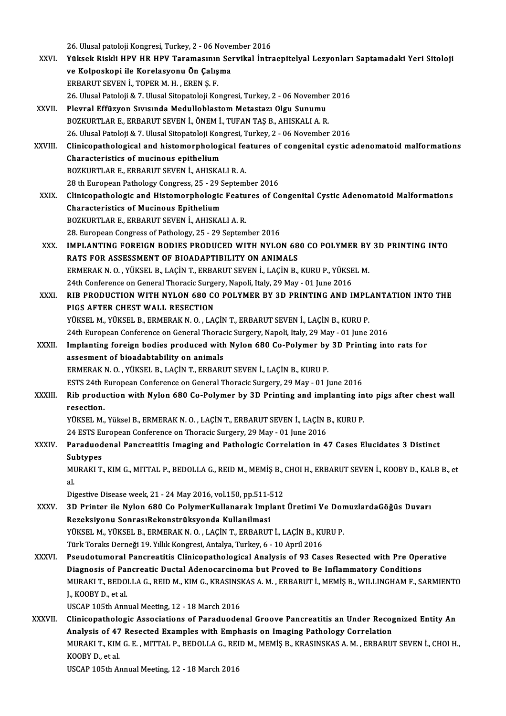26. Ulusal patoloji Kongresi, Turkey, 2 - 06 November 2016<br>Vülseek Biakli HBV HB HBV Toromaannu Souvikal İntr

|               | 26. Ulusal patoloji Kongresi, Turkey, 2 - 06 November 2016                                                           |
|---------------|----------------------------------------------------------------------------------------------------------------------|
| XXVI.         | Yüksek Riskli HPV HR HPV Taramasının Servikal İntraepitelyal Lezyonları Saptamadaki Yeri Sitoloji                    |
|               | ve Kolposkopi ile Korelasyonu Ön Çalışma                                                                             |
|               | ERBARUT SEVEN İ., TOPER M. H., EREN Ş. F.                                                                            |
|               | 26. Ulusal Patoloji & 7. Ulusal Sitopatoloji Kongresi, Turkey, 2 - 06 November 2016                                  |
| XXVII.        | Plevral Effüzyon Sıvısında Medulloblastom Metastazı Olgu Sunumu                                                      |
|               | BOZKURTLAR E., ERBARUT SEVEN İ., ÖNEM İ., TUFAN TAŞ B., AHISKALI A. R.                                               |
|               | 26. Ulusal Patoloji & 7. Ulusal Sitopatoloji Kongresi, Turkey, 2 - 06 November 2016                                  |
| <b>XXVIII</b> | Clinicopathological and histomorphological features of congenital cystic adenomatoid malformations                   |
|               | Characteristics of mucinous epithelium                                                                               |
|               | BOZKURTLAR E., ERBARUT SEVEN İ., AHISKALI R. A.                                                                      |
|               | 28 th European Pathology Congress, 25 - 29 September 2016                                                            |
| <b>XXIX</b>   | Clinicopathologic and Histomorphologic Features of Congenital Cystic Adenomatoid Malformations                       |
|               | Characteristics of Mucinous Epithelium                                                                               |
|               | BOZKURTLAR E, ERBARUT SEVEN İ., AHISKALI A. R.                                                                       |
|               | 28. European Congress of Pathology, 25 - 29 September 2016                                                           |
| XXX.          | IMPLANTING FOREIGN BODIES PRODUCED WITH NYLON 680 CO POLYMER BY 3D PRINTING INTO                                     |
|               | RATS FOR ASSESSMENT OF BIOADAPTIBILITY ON ANIMALS                                                                    |
|               | ERMERAK N. O., YÜKSEL B., LAÇİN T., ERBARUT SEVEN İ., LAÇİN B., KURU P., YÜKSEL M.                                   |
|               | 24th Conference on General Thoracic Surgery, Napoli, Italy, 29 May - 01 June 2016                                    |
| XXXI.         | RIB PRODUCTION WITH NYLON 680 CO POLYMER BY 3D PRINTING AND IMPLANTATION INTO THE                                    |
|               | PIGS AFTER CHEST WALL RESECTION                                                                                      |
|               | YÜKSEL M., YÜKSEL B., ERMERAK N. O., LAÇİN T., ERBARUT SEVEN İ., LAÇİN B., KURU P.                                   |
|               | 24th European Conference on General Thoracic Surgery, Napoli, Italy, 29 May - 01 June 2016                           |
| <b>XXXII</b>  | Implanting foreign bodies produced with Nylon 680 Co-Polymer by 3D Printing into rats for                            |
|               | assesment of bioadabtability on animals                                                                              |
|               | ERMERAK N. O., YÜKSEL B., LAÇİN T., ERBARUT SEVEN İ., LAÇİN B., KURU P.                                              |
|               | ESTS 24th European Conference on General Thoracic Surgery, 29 May - 01 June 2016                                     |
| <b>XXXIII</b> | Rib production with Nylon 680 Co-Polymer by 3D Printing and implanting into pigs after chest wall                    |
|               | resection.                                                                                                           |
|               | YÜKSEL M., Yüksel B., ERMERAK N. O., LAÇİN T., ERBARUT SEVEN İ., LAÇİN B., KURU P.                                   |
|               | 24 ESTS European Conference on Thoracic Surgery, 29 May - 01 June 2016                                               |
| XXXIV.        | Paraduodenal Pancreatitis Imaging and Pathologic Correlation in 47 Cases Elucidates 3 Distinct                       |
|               | <b>Subtypes</b>                                                                                                      |
|               | MURAKI T., KIM G., MITTAL P., BEDOLLA G., REID M., MEMIȘ B., CHOI H., ERBARUT SEVEN İ., KOOBY D., KALB B., et<br>al. |
|               | Digestive Disease week, 21 - 24 May 2016, vol.150, pp.511-512                                                        |
| XXXV.         | 3D Printer ile Nylon 680 Co PolymerKullanarak Implant Üretimi Ve DomuzlardaGöğüs Duvarı                              |
|               | Rezeksiyonu SonrasıRekonstrüksyonda Kullanilmasi                                                                     |
|               | YÜKSEL M., YÜKSEL B., ERMERAK N. O., LAÇİN T., ERBARUT İ., LAÇİN B., KURU P.                                         |
|               | Türk Toraks Derneği 19. Yıllık Kongresi, Antalya, Turkey, 6 - 10 April 2016                                          |
| <b>XXXVI</b>  | Pseudotumoral Pancreatitis Clinicopathological Analysis of 93 Cases Resected with Pre Operative                      |
|               | Diagnosis of Pancreatic Ductal Adenocarcinoma but Proved to Be Inflammatory Conditions                               |
|               | MURAKI T., BEDOLLA G., REID M., KIM G., KRASINSKAS A. M., ERBARUT İ., MEMİŞ B., WILLINGHAM F., SARMIENTO             |
|               | J., KOOBY D., et al.                                                                                                 |
|               | USCAP 105th Annual Meeting, 12 - 18 March 2016                                                                       |
| XXXVII.       | Clinicopathologic Associations of Paraduodenal Groove Pancreatitis an Under Recognized Entity An                     |
|               | Analysis of 47 Resected Examples with Emphasis on Imaging Pathology Correlation                                      |
|               | MURAKI T., KIM G. E., MITTAL P., BEDOLLA G., REID M., MEMIŞ B., KRASINSKAS A. M., ERBARUT SEVEN İ., CHOI H.,         |
|               | KOOBY D., et al.                                                                                                     |
|               | USCAP 105th Annual Meeting, 12 - 18 March 2016                                                                       |
|               |                                                                                                                      |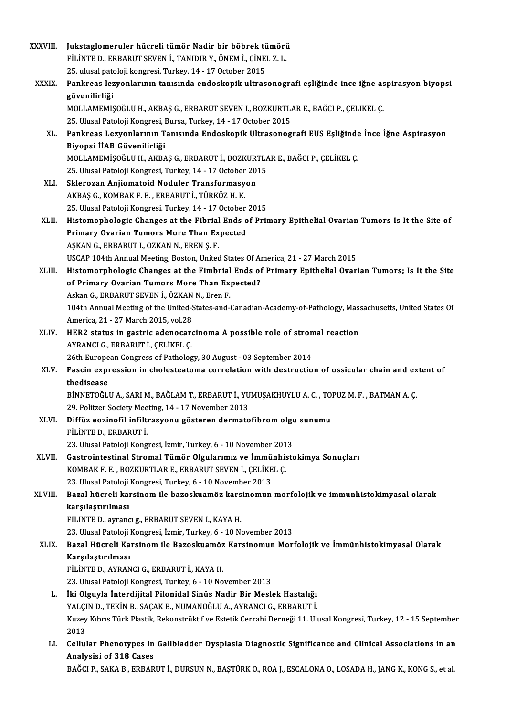| XXXVIII.     | Jukstaglomeruler hücreli tümör Nadir bir böbrek tümörü                                                                         |
|--------------|--------------------------------------------------------------------------------------------------------------------------------|
|              | FİLİNTE D., ERBARUT SEVEN İ., TANIDIR Y., ÖNEM İ., CİNEL Z. L.                                                                 |
|              | 25. ulusal patoloji kongresi, Turkey, 14 - 17 October 2015                                                                     |
| <b>XXXIX</b> | Pankreas lezyonlarının tanısında endoskopik ultrasonografi eşliğinde ince iğne aspirasyon biyopsi                              |
|              | güvenilirliği                                                                                                                  |
|              | MOLLAMEMİŞOĞLU H., AKBAŞ G., ERBARUT SEVEN İ., BOZKURTLAR E., BAĞCI P., ÇELİKEL Ç.                                             |
|              | 25. Ulusal Patoloji Kongresi, Bursa, Turkey, 14 - 17 October 2015                                                              |
| XL.          | Pankreas Lezyonlarının Tanısında Endoskopik Ultrasonografi EUS Eşliğinde İnce İğne Aspirasyon<br>Biyopsi İİAB Güvenilirliği    |
|              | MOLLAMEMİŞOĞLU H., AKBAŞ G., ERBARUT İ., BOZKURTLAR E., BAĞCI P., ÇELİKEL Ç.                                                   |
|              | 25. Ulusal Patoloji Kongresi, Turkey, 14 - 17 October 2015                                                                     |
| XLI.         | Sklerozan Anjiomatoid Noduler Transformasyon                                                                                   |
|              | AKBAŞ G., KOMBAK F. E., ERBARUT İ., TÜRKÖZ H. K.                                                                               |
|              | 25. Ulusal Patoloji Kongresi, Turkey, 14 - 17 October 2015                                                                     |
| XLII.        | Histomophologic Changes at the Fibrial Ends of Primary Epithelial Ovarian Tumors Is It the Site of                             |
|              | Primary Ovarian Tumors More Than Expected                                                                                      |
|              | AŞKAN G., ERBARUT İ., ÖZKAN N., EREN Ş. F.                                                                                     |
|              | USCAP 104th Annual Meeting, Boston, United States Of America, 21 - 27 March 2015                                               |
| XLIII.       | Histomorphologic Changes at the Fimbrial Ends of Primary Epithelial Ovarian Tumors; Is It the Site                             |
|              | of Primary Ovarian Tumors More Than Expected?                                                                                  |
|              | Askan G., ERBARUT SEVEN İ., ÖZKAN N., Eren F.                                                                                  |
|              | 104th Annual Meeting of the United-States-and-Canadian-Academy-of-Pathology, Massachusetts, United States Of                   |
|              | America, 21 - 27 March 2015, vol.28                                                                                            |
| XLIV.        | HER2 status in gastric adenocarcinoma A possible role of stromal reaction                                                      |
|              | AYRANCI G., ERBARUT İ., ÇELİKEL Ç.                                                                                             |
|              | 26th European Congress of Pathology, 30 August - 03 September 2014                                                             |
| XLV.         | Fascin expression in cholesteatoma correlation with destruction of ossicular chain and extent of                               |
|              | thedisease<br>BİNNETOĞLU A., SARI M., BAĞLAM T., ERBARUT İ., YUMUŞAKHUYLU A. C. , TOPUZ M. F. , BATMAN A. Ç.                   |
|              | 29. Politzer Society Meeting, 14 - 17 November 2013                                                                            |
| XLVI.        | Diffüz eozinofil infiltrasyonu gösteren dermatofibrom olgu sunumu                                                              |
|              | FILINTE D., ERBARUT İ.                                                                                                         |
|              | 23. Ulusal Patoloji Kongresi, İzmir, Turkey, 6 - 10 November 2013                                                              |
| XLVII.       | Gastrointestinal Stromal Tümör Olgularımız ve İmmünhistokimya Sonuçları                                                        |
|              | KOMBAK F. E., BOZKURTLAR E., ERBARUT SEVEN İ., ÇELİKEL Ç.                                                                      |
|              | 23. Ulusal Patoloji Kongresi, Turkey, 6 - 10 November 2013                                                                     |
| XLVIII.      | Bazal hücreli karsinom ile bazoskuamöz karsinomun morfolojik ve immunhistokimyasal olarak                                      |
|              | karşılaştırılması                                                                                                              |
|              | FİLİNTE D., ayrancı g., ERBARUT SEVEN İ., KAYA H.                                                                              |
|              | 23. Ulusal Patoloji Kongresi, İzmir, Turkey, 6 - 10 November 2013                                                              |
| XLIX.        | Bazal Hücreli Karsinom ile Bazoskuamöz Karsinomun Morfolojik ve İmmünhistokimyasal Olarak                                      |
|              | Karşılaştırılması                                                                                                              |
|              | FİLİNTE D., AYRANCI G., ERBARUT İ., KAYA H.                                                                                    |
|              | 23. Ulusal Patoloji Kongresi, Turkey, 6 - 10 November 2013                                                                     |
| L.           | İki Olguyla İnterdijital Pilonidal Sinüs Nadir Bir Meslek Hastalığı                                                            |
|              | YALÇIN D., TEKİN B., SAÇAK B., NUMANOĞLU A., AYRANCI G., ERBARUT İ.                                                            |
|              | Kuzey Kıbrıs Türk Plastik, Rekonstrüktif ve Estetik Cerrahi Derneği 11. Ulusal Kongresi, Turkey, 12 - 15 September             |
|              | 2013                                                                                                                           |
| LI.          | Cellular Phenotypes in Gallbladder Dysplasia Diagnostic Significance and Clinical Associations in an<br>Analysisi of 318 Cases |
|              | BAĞCI P., SAKA B., ERBARUT İ., DURSUN N., BAŞTÜRK O., ROA J., ESCALONA O., LOSADA H., JANG K., KONG S., et al.                 |
|              |                                                                                                                                |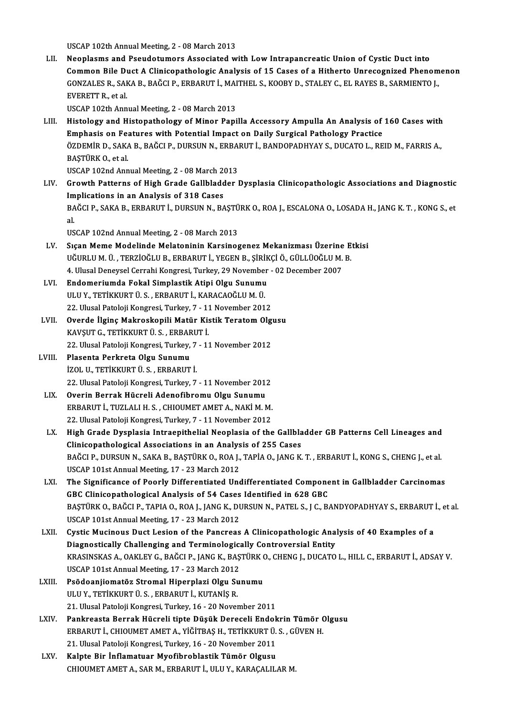USCAP 102th Annual Meeting, 2 - 08 March 2013 LII. Neoplasms and Pseudotumors Associated with Low Intrapancreatic Union of Cystic Duct into Common Bile Duct A Clinicopathologic Analysis of 15 Cases of a Hitherto Unrecognized Phenomenon Neoplasms and Pseudotumors Associated with Low Intrapancreatic Union of Cystic Duct into<br>Common Bile Duct A Clinicopathologic Analysis of 15 Cases of a Hitherto Unrecognized Phenom<br>GONZALES R., SAKA B., BAĞCI P., ERBARUT İ Common Bile Di<br>GONZALES R., SAH<br>EVERETT R., et al.<br>USCAP 102th Ann GONZALES R., SAKA B., BAĞCI P., ERBARUT İ., MAI<br>EVERETT R., et al.<br>USCAP 102th Annual Meeting, 2 - 08 March 2013<br>Histology and Histonathology of Minor Bani EVERETT R., et al.<br>USCAP 102th Annual Meeting, 2 - 08 March 2013<br>LIII. Histology and Histopathology of Minor Papilla Accessory Ampulla An Analysis of 160 Cases with<br>Emphasis on Faatures with Petential Impact on Daily Surgi USCAP 102th Annual Meeting, 2 - 08 March 2013<br>Histology and Histopathology of Minor Papilla Accessory Ampulla An Analysis of<br>Emphasis on Features with Potential Impact on Daily Surgical Pathology Practice<br>ÖZDEMİR D. SAKA R Histology and Histopathology of Minor Papilla Accessory Ampulla An Analysis of 160 Cases with<br>Emphasis on Features with Potential Impact on Daily Surgical Pathology Practice<br>ÖZDEMİR D., SAKA B., BAĞCI P., DURSUN N., ERBARU E<mark>mphasis on Fe</mark><br>ÖZDEMİR D., SAK.<br>BAŞTÜRK O., et al.<br>USCAR 102nd Ann ÖZDEMİR D., SAKA B., BAĞCI P., DURSUN N., ERBA<br>BAŞTÜRK O., et al.<br>USCAP 102nd Annual Meeting, 2 - 08 March 2013<br>Crouth Batterns of High Crade Callhladder l BAŞTÜRK O., et al.<br>USCAP 102nd Annual Meeting, 2 - 08 March 2013<br>LIV. Growth Patterns of High Grade Gallbladder Dysplasia Clinicopathologic Associations and Diagnostic<br>Implications in an Analysis of 318 Cases USCAP 102nd Annual Meeting, 2 - 08 March 2013 Growth Patterns of High Grade Gallbladder Dysplasia Clinicopathologic Associations and Diagnostic<br>Implications in an Analysis of 318 Cases<br>BAĞCI P., SAKA B., ERBARUT İ., DURSUN N., BAŞTÜRK O., ROA J., ESCALONA O., LOSADA H Im<br>BA<br>al<br>11c BAĞCI P., SAKA B., ERBARUT İ., DURSUN N., BAŞTÜ<br>al.<br>USCAP 102nd Annual Meeting, 2 - 08 March 2013<br>Sısan Mama Madalinda Malataninin Karsinas al.<br>USCAP 102nd Annual Meeting, 2 - 08 March 2013<br>LV. Sıçan Meme Modelinde Melatoninin Karsinogenez Mekanizması Üzerine Etkisi<br>UĞURLUM Ü. TERZİQĞLU B. ERRARUT İ. VECEN B. SİRİKÇİ Ö. GÜLLÜQĞLUM B USCAP 102nd Annual Meeting, 2 - 08 March 2013<br>Sıçan Meme Modelinde Melatoninin Karsinogenez Mekanizması Üzerine E<br>UĞURLU M. Ü. , TERZİOĞLU B., ERBARUT İ., YEGEN B., ŞİRİKÇİ Ö., GÜLLÜOĞLU M. B.<br>4. Ulusal Danavsal Carrabi Ka Sıçan Meme Modelinde Melatoninin Karsinogenez Mekanizması Üzerine<br>UĞURLU M. Ü. , TERZİOĞLU B., ERBARUT İ., YEGEN B., ŞİRİKÇİ Ö., GÜLLÜOĞLU M.<br>4. Ulusal Deneysel Cerrahi Kongresi, Turkey, 29 November - 02 December 2007<br>Ende UĞURLU M. Ü. , TERZİOĞLU B., ERBARUT İ., YEGEN B., ŞİRİK<br>4. Ulusal Deneysel Cerrahi Kongresi, Turkey, 29 November<br>LVI. Bundomeriumda Fokal Simplastik Atipi Olgu Sunumu<br>1. HULLY TETİLYURT Ü.S. ERBARUT İ. KARAÇAQĞLUM Ü. 4. Ulusal Deneysel Cerrahi Kongresi, Turkey, 29 November<br>Endomeriumda Fokal Simplastik Atipi Olgu Sunumu<br>ULU Y., TETİKKURT Ü. S. , ERBARUT İ., KARACAOĞLU M. Ü.<br>22. Ulusal Pateleji Kongresi, Turkey, 7., 11 November 201 Endomeriumda Fokal Simplastik Atipi Olgu Sunumu<br>ULU Y., TETİKKURT Ü. S. , ERBARUT İ., KARACAOĞLU M. Ü.<br>22. Ulusal Patoloji Kongresi, Turkey, 7 - 11 November 2012<br>Overde İlgine Makroskenili Matür Kistik Teratam Olg ULU Y., TETİKKURT Ü. S. , ERBARUT İ., KARACAOĞLU M. Ü.<br>22. Ulusal Patoloji Kongresi, Turkey, 7 - 11 November 2012<br>LVII. Overde İlginç Makroskopili Matür Kistik Teratom Olgusu<br>KAVSUT C. TETİKKUPT Ü.S. ERRAPUT İ. 22. Ulusal Patoloji Kongresi, Turkey, 7 - 11<br>**Overde İlginç Makroskopili Matür Ki**s<br>KAVŞUT G., TETİKKURT Ü. S. , ERBARUT İ.<br>22. Husal Patoloji Kongresi Turkey, 7. 11 Overde İlginç Makroskopili Matür Kistik Teratom Olg<br>KAVŞUT G., TETİKKURT Ü. S. , ERBARUT İ.<br>22. Ulusal Patoloji Kongresi, Turkey, 7 - 11 November 2012<br>Blasanta Barkrata Olgu Sunumu KAVŞUT G., TETİKKURT Ü. S. , ERBAR<br>22. Ulusal Patoloji Kongresi, Turkey,<br>LVIII. Plasenta Perkreta Olgu Sunumu<br>1701. I. TETİKKUPT Ü. S. ERBARUT 22. Ulusal Patoloji Kongresi, Turkey, 7<br>Plasenta Perkreta Olgu Sunumu<br>İZOL U., TETİKKURT Ü. S. , ERBARUT İ.<br>22. Ulusal Patoloji Kongresi, Turkey, 7. Plasenta Perkreta Olgu Sunumu<br>120L U., TETİKKURT Ü. S. , ERBARUT İ.<br>22. Ulusal Patoloji Kongresi, Turkey, 7 - 11 November 2012 LIX. Overin Berrak Hücreli Adenofibromu Olgu Sunumu 22. Ulusal Patoloji Kongresi, Turkey, 7 - 11 November 2012<br>Overin Berrak Hücreli Adenofibromu Olgu Sunumu<br>ERBARUT İ., TUZLALI H. S. , CHIOUMET AMET A., NAKİM.M.<br>22. Ulusal Patoloji Kongresi Turkey, 7 - 11 November 2012. Overin Berrak Hücreli Adenofibromu Olgu Sunumu<br>ERBARUT İ., TUZLALI H. S. , CHIOUMET AMET A., NAKİ M. M.<br>22. Ulusal Patoloji Kongresi, Turkey, 7 - 11 November 2012<br>High Crade Dyaplasia Intreepithelial Nooplasia of the ERBARUT İ., TUZLALI H. S. , CHIOUMET AMET A., NAKİ M. M.<br>22. Ulusal Patoloji Kongresi, Turkey, 7 - 11 November 2012<br>LX. High Grade Dysplasia Intraepithelial Neoplasia of the Gallbladder GB Patterns Cell Lineages and<br>Cl 22. Ulusal Patoloji Kongresi, Turkey, 7 - 11 November 2012<br>High Grade Dysplasia Intraepithelial Neoplasia of the Gallbla<br>Clinicopathological Associations in an Analysis of 255 Cases<br>BAČCLP, DURSUN N. SAKA B. BASTÚRK O. POA High Grade Dysplasia Intraepithelial Neoplasia of the Gallbladder GB Patterns Cell Lineages and<br>Clinicopathological Associations in an Analysis of 255 Cases<br>BAĞCI P., DURSUN N., SAKA B., BAŞTÜRK 0., ROA J., TAPİA 0., JANG

Clinicopathological Associations in an Analysis of 255 Cases<br>BAĞCI P., DURSUN N., SAKA B., BAŞTÜRK O., ROA J., TAPİA O., JANG K.<br>USCAP 101st Annual Meeting, 17 - 23 March 2012

- BAĞCI P., DURSUN N., SAKA B., BAŞTÜRK O., ROA J., TAPİA O., JANG K. T. , ERBARUT İ., KONG S., CHENG J., et al.<br>USCAP 101st Annual Meeting, 17 23 March 2012<br>LXI. The Significance of Poorly Differentiated Undifferentia The Significance of Poorly Differentiated Undifferentiated Component in Gallbladder Carcinomas The Significance of Poorly Differentiated Undifferentiated Component in Gallbladder Carcinomas<br>GBC Clinicopathological Analysis of 54 Cases Identified in 628 GBC<br>BAŞTÜRK 0., BAĞCI P., TAPIA 0., ROA J., JANG K., DURSUN N., GBC Clinicopathological Analysis of 54 Cases<br>BAŞTÜRK O., BAĞCI P., TAPIA O., ROA J., JANG K., DU<br>USCAP 101st Annual Meeting, 17 - 23 March 2012<br>Cystic Musinous Dust Losian of the Bangroes BAŞTÜRK O., BAĞCI P., TAPIA O., ROA J., JANG K., DURSUN N., PATEL S., J C., BANDYOPADHYAY S., ERBARUT<br>USCAP 101st Annual Meeting, 17 - 23 March 2012<br>LXII. Cystic Mucinous Duct Lesion of the Pancreas A Clinicopathologic Ana
- USCAP 101st Annual Meeting, 17 23 March 2012<br>Cystic Mucinous Duct Lesion of the Pancreas A Clinicopathologic Ana<br>Diagnostically Challenging and Terminologically Controversial Entity<br>VRASINSKAS A . OAKLEV C. BAČCLB, JANC Cystic Mucinous Duct Lesion of the Pancreas A Clinicopathologic Analysis of 40 Examples of a<br>Diagnostically Challenging and Terminologically Controversial Entity<br>KRASINSKAS A., OAKLEY G., BAĞCI P., JANG K., BAŞTÜRK O., CHE Diagnostically Challenging and Terminologic:<br>KRASINSKAS A., OAKLEY G., BAĞCI P., JANG K., BAŞ<br>USCAP 101st Annual Meeting, 17 - 23 March 2012<br>Beğdeanijamatör Stramal Hinarnlari Olgu Su KRASINSKAS A., OAKLEY G., BAĞCI P., JANG K., BAŞTÜRK (<br>USCAP 101st Annual Meeting, 17 - 23 March 2012<br>LXIII. Psödoanjiomatöz Stromal Hiperplazi Olgu Sunumu<br>III II. Y. TETİYYUPT Ü S., ERRABIT İ. YUTANİS R
- USCAP 101st Annual Meeting, 17 23 March 2012<br>Psödoanjiomatöz Stromal Hiperplazi Olgu Sunumu<br>ULU Y., TETİKKURT Ü. S. , ERBARUT İ., KUTANİŞ R. 21. Ulusal Patoloji Kongresi, Turkey, 16 - 20 November 2011
- LXIV. Pankreasta Berrak Hücreli tipte Düşük Dereceli Endokrin Tümör Olgusu 21. Ulusal Patoloji Kongresi, Turkey, 16 - 20 November 2011<br>Pankreasta Berrak Hücreli tipte Düşük Dereceli Endokrin Tümör (<br>ERBARUT İ., CHIOUMET AMET A., YİĞİTBAŞ H., TETİKKURT Ü. S. , GÜVEN H.<br>21. Ulusal Patalaji Kangresi Pankreasta Berrak Hücreli tipte Düşük Dereceli Endok<br>ERBARUT İ., CHIOUMET AMET A., YİĞİTBAŞ H., TETİKKURT Ü.<br>21. Ulusal Patoloji Kongresi, Turkey, 16 - 20 November 2011<br>Kalnta Bir İnflamatuar Muafihrablastik Tümör Olsusu ERBARUT İ., CHIOUMET AMET A., YİĞİTBAŞ H., TETİKKURT Ü.<br>21. Ulusal Patoloji Kongresi, Turkey, 16 - 20 November 2011<br>LXV. Kalpte Bir İnflamatuar Myofibroblastik Tümör Olgusu
- 21. Ulusal Patoloji Kongresi, Turkey, 16 20 November 2011<br>Kalpte Bir İnflamatuar Myofibroblastik Tümör Olgusu<br>CHIOUMET AMET A., SAR M., ERBARUT İ., ULU Y., KARAÇALILAR M.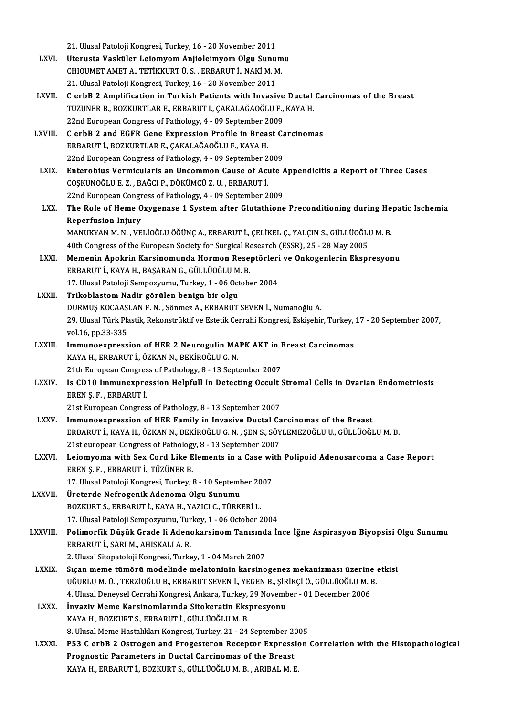21. Ulusal Patoloji Kongresi, Turkey, 16 - 20 November 2011<br>Utanusta Vasküler Leiamuam Anijalaimuam Olsu Sunu

- 21. Ulusal Patoloji Kongresi, Turkey, 16 20 November 2011<br>LXVI. Uterusta Vasküler Leiomyom Anjioleimyom Olgu Sunumu<br>CHIOUMET AMET A TETİVYUPT Ü S EPPARUT İ NAVİ M M 21. Ulusal Patoloji Kongresi, Turkey, 16 - 20 November 2011<br>Uterusta Vasküler Leiomyom Anjioleimyom Olgu Sunum<br>CHIOUMET AMET A., TETİKKURT Ü. S. , ERBARUT İ., NAKİ M. M.<br>21. Ulusal Patalaji Kongresi Turkey, 16 - 20 Novembe Uterusta Vasküler Leiomyom Anjioleimyom Olgu Sunumu<br>CHIOUMET AMET A., TETİKKURT Ü. S. , ERBARUT İ., NAKİ M. M.<br>21. Ulusal Patoloji Kongresi, Turkey, 16 - 20 November 2011
- LXVII. C erbB 2 Amplification in Turkish Patients with Invasive Ductal Carcinomas of the Breast 21. Ulusal Patoloji Kongresi, Turkey, 16 - 20 November 2011<br>C erbB 2 Amplification in Turkish Patients with Invasive Ductal<br>TÜZÜNER B., BOZKURTLAR E., ERBARUT İ., ÇAKALAĞAOĞLU F., KAYA H.<br>22nd European Congress of Batholog C erbB 2 Amplification in Turkish Patients with Invasive<br>TÜZÜNER B., BOZKURTLAR E., ERBARUT İ., ÇAKALAĞAOĞLU F.,<br>22nd European Congress of Pathology, 4 - 09 September 2009<br>C erbB 2 and ECEB Cana Expression Prafile in Breas TÜZÜNER B., BOZKURTLAR E., ERBARUT İ., ÇAKALAĞAOĞLU F., KAYA H.<br>22nd European Congress of Pathology, 4 - 09 September 2009<br>LXVIII. C erbB 2 and EGFR Gene Expression Profile in Breast Carcinomas
- 22nd European Congress of Pathology, 4 09 September 2009<br>C erbB 2 and EGFR Gene Expression Profile in Breast Carcinomas<br>ERBARUT İ., BOZKURTLAR E., CAKALAĞAOĞLU F., KAYA H. 22nd European Congress of Pathology, 4 - 09 September 2009
- ERBARUT İ., BOZKURTLAR E., ÇAKALAĞAOĞLU F., KAYA H.<br>22nd European Congress of Pathology, 4 09 September 2009<br>LXIX. Enterobius Vermicularis an Uncommon Cause of Acute Appendicitis a Report of Three Cases<br>COSKUNOĞU ILE 7 -22nd European Congress of Pathology, 4 - 09 September 2<br>Enterobius Vermicularis an Uncommon Cause of Act<br>COȘKUNOĞLU E. Z. , BAĞCI P., DÖKÜMCÜ Z. U. , ERBARUT İ.<br>22nd European Congress of Pathology, 4 - 09 September 2 Enterobius Vermicularis an Uncommon Cause of Acute A<br>COȘKUNOĞLU E. Z. , BAĞCI P., DÖKÜMCÜ Z. U. , ERBARUT İ.<br>22nd European Congress of Pathology, 4 - 09 September 2009<br>The Bole of Heme Ouygenese 1 System ofter Clutathione COSKUNOĞLU E. Z. , BAĞCI P., DÖKÜMCÜ Z. U. , ERBARUT İ.<br>22nd European Congress of Pathology, 4 - 09 September 2009<br>LXX. The Role of Heme Oxygenase 1 System after Glutathione Preconditioning during Hepatic Ischemia<br>Pene
- **22nd European Congr<br>The Role of Heme O<br>Reperfusion Injury**<br>MANUKYAN M N VE The Role of Heme Oxygenase 1 System after Glutathione Preconditioning during He<br>Reperfusion Injury<br>MANUKYAN M. N. , VELİOĞLU ÖĞÜNÇA., ERBARUT İ., ÇELİKEL Ç., YALÇIN S., GÜLLÜOĞLU M. B.<br>40th Congress of the European Sosiaty Reperfusion Injury<br>MANUKYAN M. N. , VELİOĞLU ÖĞÜNÇ A., ERBARUT İ., ÇELİKEL Ç., YALÇIN S., GÜLLÜOĞLI<br>40th Congress of the European Society for Surgical Research (ESSR), 25 - 28 May 2005<br>Mamanin Anakrin Karsinamunda Harman B

- MANUKYAN M. N. , VELİOĞLU ÖĞÜNÇ A., ERBARUT İ., ÇELİKEL Ç., YALÇIN S., GÜLLÜOĞLU M. B.<br>40th Congress of the European Society for Surgical Research (ESSR), 25 28 May 2005<br>LXXI. Memenin Apokrin Karsinomunda Hormon Reseptör 40th Congress of the European Society for Surgical Research (ESSR), 25 - 28 May 2005<br>Memenin Apokrin Karsinomunda Hormon Reseptörleri ve Onkogenlerin Ekspresyonu<br>ERBARUT İ., KAYA H., BAŞARAN G., GÜLLÜOĞLU M. B. Memenin Apokrin Karsinomunda Hormon Reseptörleri<br>ERBARUT İ., KAYA H., BAŞARAN G., GÜLLÜOĞLU M. B.<br>17. Ulusal Patoloji Sempozyumu, Turkey, 1 - 06 October 2004<br>Trikeblestem Nadin görülen benisn bir elsu ERBARUT İ., KAYA H., BAŞARAN G., GÜLLÜOĞLU M<br>17. Ulusal Patoloji Sempozyumu, Turkey, 1 - 06 Oct<br>LXXII. Trikoblastom Nadir görülen benign bir olgu<br>DUPMUS KOCAASLAN E.N. Sönmeg A. ERBARUT
- Trikoblastom Nadir görülen benign bir olgu<br>DURMUŞ KOCAASLAN F. N., Sönmez A., ERBARUT SEVEN İ., Numanoğlu A. Trikoblastom Nadir görülen benign bir olgu<br>DURMUŞ KOCAASLAN F. N. , Sönmez A., ERBARUT SEVEN İ., Numanoğlu A.<br>29. Ulusal Türk Plastik, Rekonstrüktif ve Estetik Cerrahi Kongresi, Eskişehir, Turkey, 17 - 20 September 2007,<br>v DURMUŞ KOCAAS<br>29. Ulusal Türk Pla<br>vol.16, pp.33-335<br>Immunooynross 29. Ulusal Türk Plastik, Rekonstrüktif ve Estetik Cerrahi Kongresi, Eskişehir, Turkey,<br>vol.16, pp.33-335<br>LXXIII. Immunoexpression of HER 2 Neurogulin MAPK AKT in Breast Carcinomas
- vol.16, pp.33-335<br>Immunoexpression of HER 2 Neurogulin MAPK AKT in<br>KAYA H., ERBARUT İ., ÖZKAN N., BEKİROĞLU G. N.<br>21th European Congress of Pathology, 8 13 September 2007 Immunoexpression of HER 2 Neurogulin MAPK AKT in Breast Carcinomas
- KAYA H., ERBARUT İ., ÖZKAN N., BEKİROĞLU G. N.<br>21th European Congress of Pathology, 8 13 September 2007<br>LXXIV. Is CD10 Immunexpression Helpfull In Detecting Occult Stromal Cells in Ovarian Endometriosis<br>EREN S. E. ER EREN Ş. F., ERBARUT İ.<br>21st European Congress of Pathology, 8 - 13 September 2007 Is CD10 Immunexpression Helpfull In Detecting Occult :<br>EREN Ş. F. , ERBARUT İ.<br>21st European Congress of Pathology, 8 - 13 September 2007<br>Immuneaunression of HER Family in Invesive Dustal Co

- LXXV. Immunoexpression of HER Family in Invasive Ductal Carcinomas of the Breast 21st European Congress of Pathology, 8 - 13 September 2007<br>Immunoexpression of HER Family in Invasive Ductal Carcinomas of the Breast<br>ERBARUT İ., KAYA H., ÖZKAN N., BEKİROĞLU G. N. , ŞEN S., SÖYLEMEZOĞLU U., GÜLLÜOĞLU M. B Immunoexpression of HER Family in Invasive Ductal Ca<br>ERBARUT İ., KAYA H., ÖZKAN N., BEKİROĞLU G. N. , ŞEN S., SÖY<br>21st european Congress of Pathology, 8 - 13 September 2007<br>Lajamyoma with Say Card Like Flaments in a Case w ERBARUT İ., KAYA H., ÖZKAN N., BEKİROĞLU G. N. , ŞEN S., SÖYLEMEZOĞLU U., GÜLLÜOĞLU M. B.<br>21st european Congress of Pathology, 8 - 13 September 2007<br>LXXVI. Leiomyoma with Sex Cord Like Elements in a Case with Polipoid
- 21st european Congress of Pathology<br>Leiomyoma with Sex Cord Like E<br>EREN Ş. F. , ERBARUT İ., TÜZÜNER B.<br>17. Ulusel Peteleji Kongresi Turkey ( Leiomyoma with Sex Cord Like Elements in a Case wi<br>EREN Ş. F. , ERBARUT İ., TÜZÜNER B.<br>17. Ulusal Patoloji Kongresi, Turkey, 8 - 10 September 2007<br>Üneterde Nefnaganik Adenama Olay Sunumu EREN Ş. F. , ERBARUT İ., TÜZÜNER B.<br>17. Ulusal Patoloji Kongresi, Turkey, 8 - 10 September 2007<br>LXXVII. Üreterde Nefrogenik Adenoma Olgu Sunumu
- 17. Ulusal Patoloji Kongresi, Turkey, 8 10 September 20<br>Üreterde Nefrogenik Adenoma Olgu Sunumu<br>BOZKURT S., ERBARUT İ., KAYA H., YAZICI C., TÜRKERİ L.<br>17. Ulusal Patoloji Sempermumu, Turkey, 1., 06 Ostober 2 Üreterde Nefrogenik Adenoma Olgu Sunumu<br>BOZKURT S., ERBARUT İ., KAYA H., YAZICI C., TÜRKERİ L.<br>17. Ulusal Patoloji Sempozyumu, Turkey, 1 - 06 October 2004<br>Bolimarfik Düşük Crada li Adanakarsinam Tanısında İr

- 17. Ulusal Patoloji Sempozyumu, Turkey, 1 06 October 2004<br>LXXVIII. Polimorfik Düşük Grade li Adenokarsinom Tanısında İnce İğne Aspirasyon Biyopsisi Olgu Sunumu ERBARUTİ.,SARIM.,AHISKALIA.R.
	- 2. Ulusal Sitopatoloji Kongresi, Turkey, 1 04 March 2007
	- ERBARUT İ., SARI M., AHISKALI A. R.<br>2. Ulusal Sitopatoloji Kongresi, Turkey, 1 04 March 2007<br>LXXIX. Sıçan meme tümörü modelinde melatoninin karsinogenez mekanizması üzerine etkisi 2. Ulusal Sitopatoloji Kongresi, Turkey, 1 - 04 March 2007<br>Sıçan meme tümörü modelinde melatoninin karsinogenez mekanizması üzerine<br>UĞURLU M. Ü. , TERZİOĞLU B., ERBARUT SEVEN İ., YEGEN B., ŞİRİKÇİ Ö., GÜLLÜOĞLU M. B.<br>4. Ul Sıçan meme tümörü modelinde melatoninin karsinogenez mekanizması üzerine<br>UĞURLU M. Ü. , TERZİOĞLU B., ERBARUT SEVEN İ., YEGEN B., ŞİRİKÇİ Ö., GÜLLÜOĞLU M. I<br>4. Ulusal Deneysel Cerrahi Kongresi, Ankara, Turkey, 29 November UĞURLU M. Ü. , TERZİOĞLU B., ERBARUT SEVEN İ., YEGEN B., ŞİRİKÇİ Ö., GÜLLÜOĞLU M. B.<br>4. Ulusal Deneysel Cerrahi Kongresi, Ankara, Turkey, 29 November - 01 December 2006<br>LXXX. İnvaziv Meme Karsinomlarında Sitokeratin Ek
	- KAYA H., BOZKURT S., ERBARUT İ., GÜLLÜOĞLU M. B. İnvaziv Meme Karsinomlarında Sitokeratin Ekspresyonu<br>KAYA H., BOZKURT S., ERBARUT İ., GÜLLÜOĞLU M. B.<br>8. Ulusal Meme Hastalıkları Kongresi, Turkey, 21 - 24 September 2005<br>PE3 C. erbB 3. Ostrogen and Progestaran Besenter Eu
	- KAYA H., BOZKURT S., ERBARUT İ., GÜLLÜOĞLU M. B.<br>8. Ulusal Meme Hastalıkları Kongresi, Turkey, 21 24 September 2005<br>LXXXI. P53 C erbB 2 Ostrogen and Progesteron Receptor Expression Correlation with the Histopathologi 8. Ulusal Meme Hastalıkları Kongresi, Turkey, 21 - 24 September 20<br>P53 C erbB 2 Ostrogen and Progesteron Receptor Expressi<br>Prognostic Parameters in Ductal Carcinomas of the Breast<br>KAVA H. EPRABUT İ. POZKURT S. CÜLLÜQĞLUM B P53 C erbB 2 Ostrogen and Progesteron Receptor Expressi<br>Prognostic Parameters in Ductal Carcinomas of the Breast<br>KAYA H., ERBARUT İ., BOZKURT S., GÜLLÜOĞLU M. B. , ARIBAL M. E.